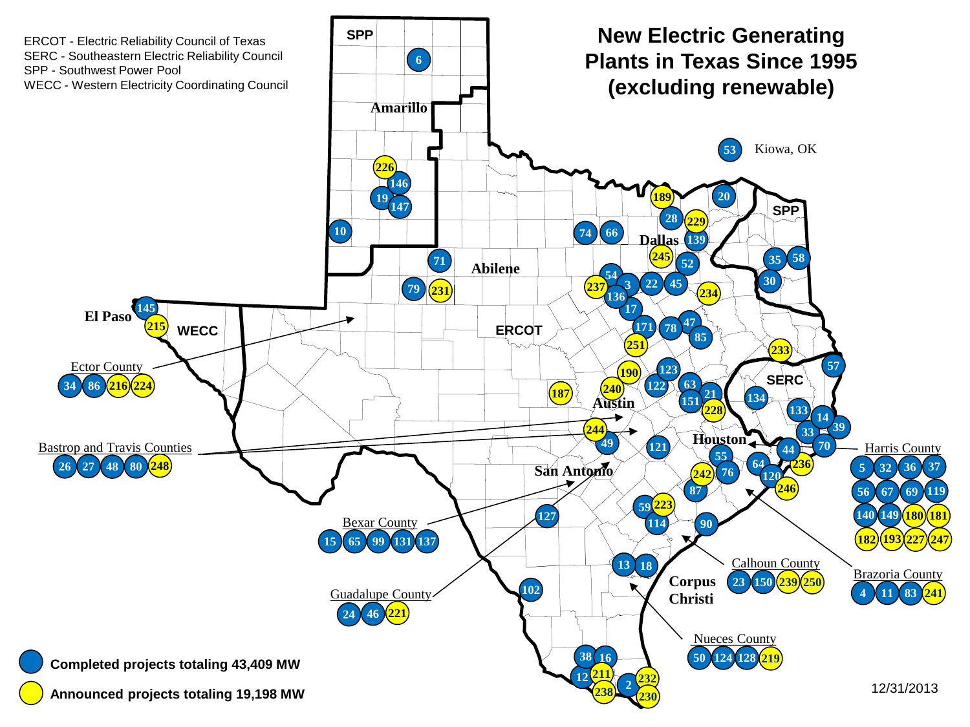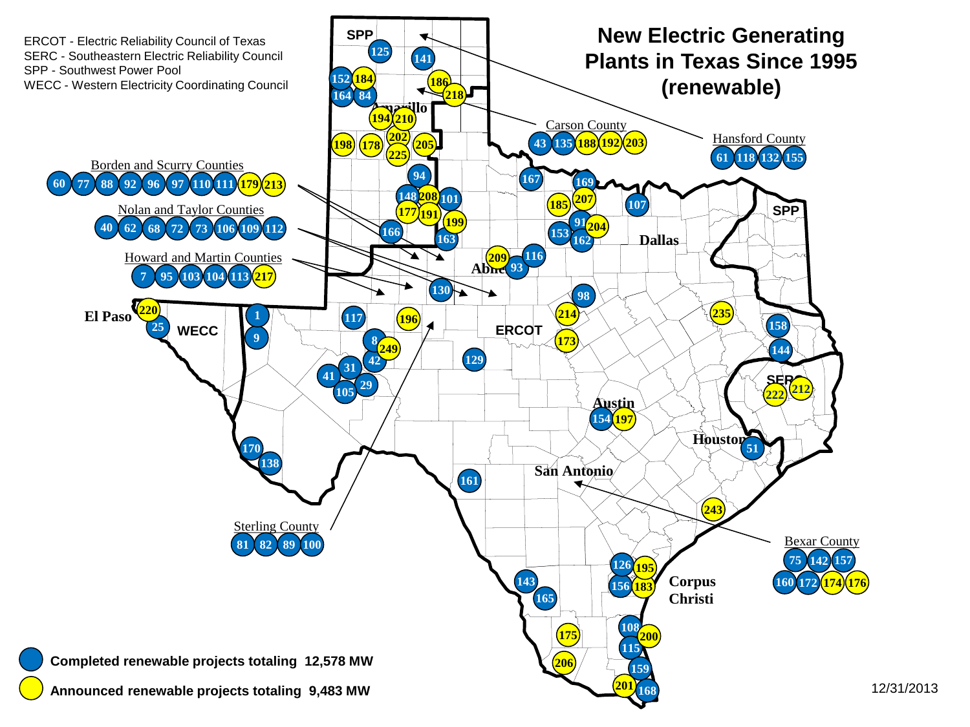

12/31/2013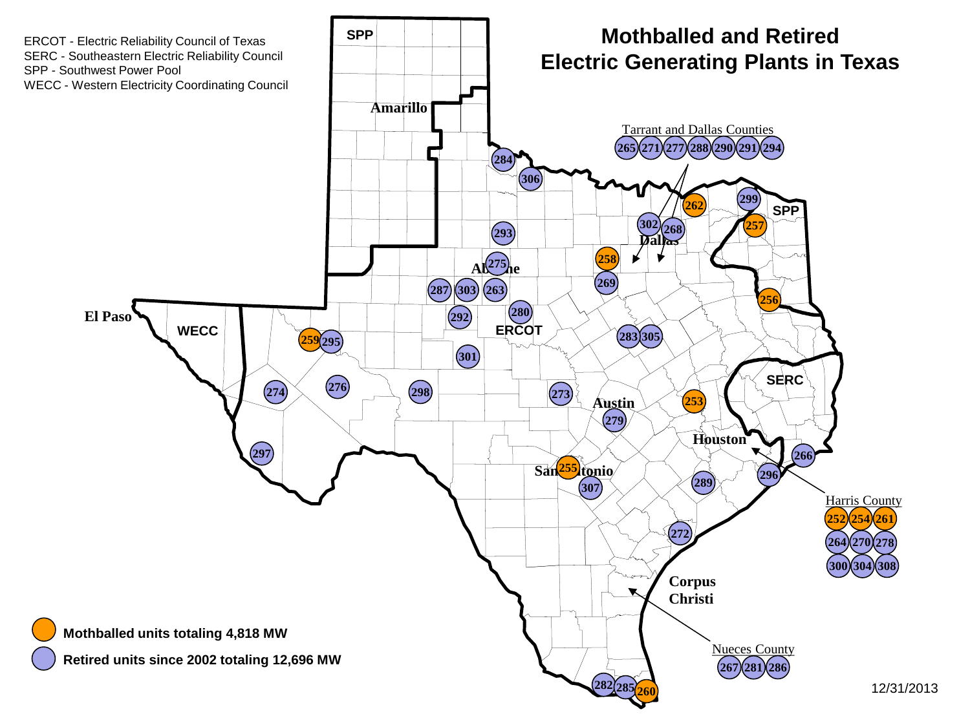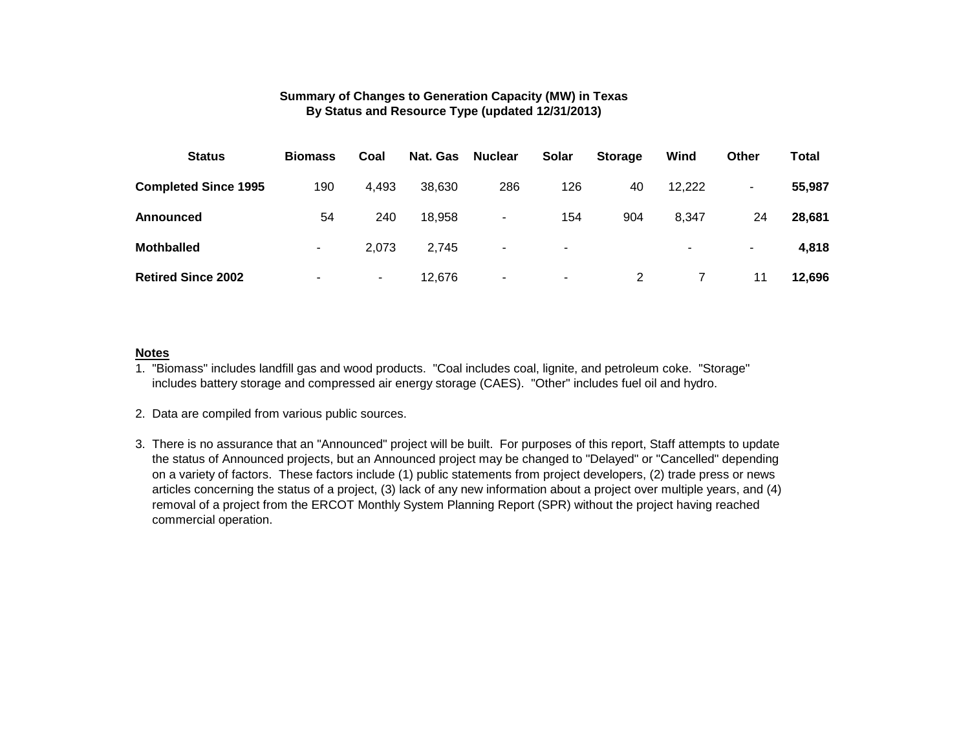#### **Summary of Changes to Generation Capacity (MW) in Texas By Status and Resource Type (updated 12/31/2013)**

| <b>Status</b>               | <b>Biomass</b> | Coal   | Nat. Gas | <b>Nuclear</b>           | <b>Solar</b> | <b>Storage</b> | Wind                     | <b>Other</b> | Total  |
|-----------------------------|----------------|--------|----------|--------------------------|--------------|----------------|--------------------------|--------------|--------|
| <b>Completed Since 1995</b> | 190            | 4,493  | 38,630   | 286                      | 126          | 40             | 12,222                   | ۰.           | 55,987 |
| <b>Announced</b>            | 54             | 240    | 18,958   | $\blacksquare$           | 154          | 904            | 8,347                    | 24           | 28,681 |
| <b>Mothballed</b>           | ۰              | 2,073  | 2.745    | $\overline{\phantom{a}}$ | ۰.           |                | $\overline{\phantom{a}}$ | ٠.           | 4,818  |
| <b>Retired Since 2002</b>   | ۰              | $\sim$ | 12,676   | $\blacksquare$           | ٠            | 2              |                          | 11           | 12,696 |

#### **Notes**

1. "Biomass" includes landfill gas and wood products. "Coal includes coal, lignite, and petroleum coke. "Storage" includes battery storage and compressed air energy storage (CAES). "Other" includes fuel oil and hydro.

3. There is no assurance that an "Announced" project will be built. For purposes of this report, Staff attempts to update the status of Announced projects, but an Announced project may be changed to "Delayed" or "Cancelled" depending on a variety of factors. These factors include (1) public statements from project developers, (2) trade press or news articles concerning the status of a project, (3) lack of any new information about a project over multiple years, and (4) removal of a project from the ERCOT Monthly System Planning Report (SPR) without the project having reached commercial operation.

<sup>2.</sup> Data are compiled from various public sources.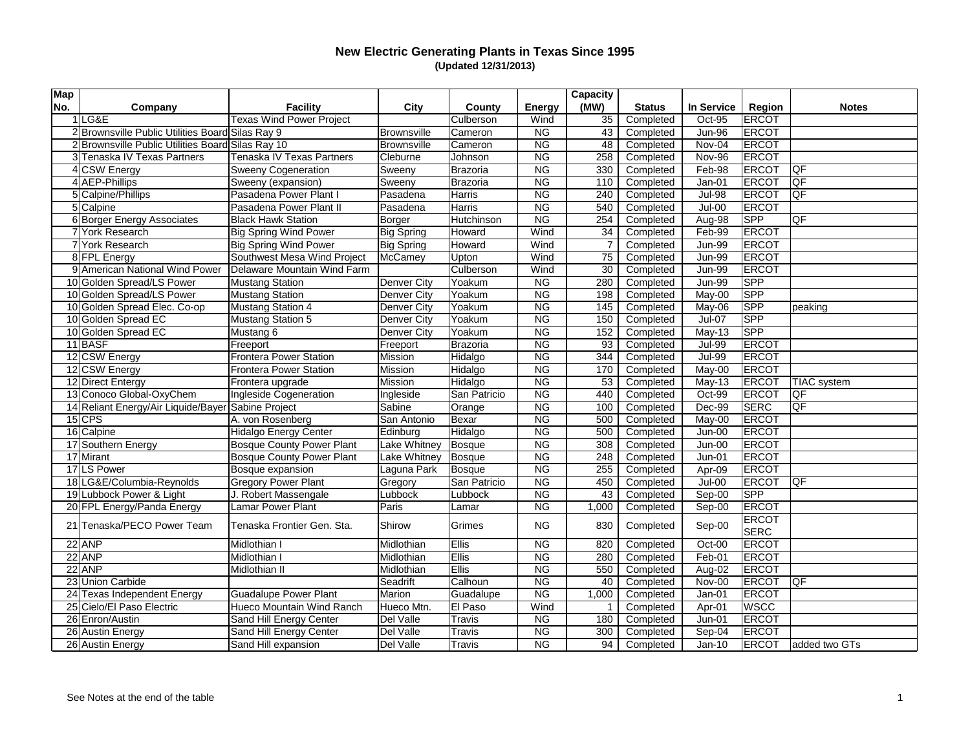| <b>Map</b> |                                                    |                                  |                    |                 |                        | <b>Capacity</b> |               |               |              |                          |
|------------|----------------------------------------------------|----------------------------------|--------------------|-----------------|------------------------|-----------------|---------------|---------------|--------------|--------------------------|
| No.        | Company                                            | <b>Facility</b>                  | City               | <b>County</b>   | <b>Energy</b>          | (MW)            | <b>Status</b> | In Service    | Region       | <b>Notes</b>             |
|            | $1$ LG&E                                           | <b>Texas Wind Power Project</b>  |                    | Culberson       | Wind                   | 35              | Completed     | Oct-95        | ERCOT        |                          |
|            | 2 Brownsville Public Utilities Board Silas Ray 9   |                                  | <b>Brownsville</b> | Cameron         | <b>NG</b>              | 43              | Completed     | <b>Jun-96</b> | <b>ERCOT</b> |                          |
|            | 2 Brownsville Public Utilities Board Silas Ray 10  |                                  | Brownsville        | Cameron         | N <sub>G</sub>         | 48              | Completed     | Nov-04        | <b>ERCOT</b> |                          |
|            | 3 Tenaska IV Texas Partners                        | Tenaska IV Texas Partners        | Cleburne           | Johnson         | N <sub>G</sub>         | 258             | Completed     | Nov-96        | <b>ERCOT</b> |                          |
|            | 4 CSW Energy                                       | <b>Sweeny Cogeneration</b>       | Sweeny             | Brazoria        | <b>NG</b>              | 330             | Completed     | Feb-98        | <b>ERCOT</b> | <b>QF</b>                |
|            | 4 AEP-Phillips                                     | Sweeny (expansion)               | Sweeny             | Brazoria        | <b>NG</b>              | 110             | Completed     | Jan-01        | ERCOT        | $\overline{\mathsf{QF}}$ |
|            | 5 Calpine/Phillips                                 | Pasadena Power Plant I           | Pasadena           | Harris          | <b>NG</b>              | 240             | Completed     | <b>Jul-98</b> | ERCOT        | $\overline{\mathsf{QF}}$ |
|            | $5$ Calpine                                        | Pasadena Power Plant II          | Pasadena           | Harris          | <b>NG</b>              | 540             | Completed     | Jul-00        | <b>ERCOT</b> |                          |
|            | 6 Borger Energy Associates                         | <b>Black Hawk Station</b>        | Borger             | Hutchinson      | <b>NG</b>              | 254             | Completed     | Aug-98        | <b>SPP</b>   | <b>QF</b>                |
|            | 7 York Research                                    | <b>Big Spring Wind Power</b>     | <b>Big Spring</b>  | Howard          | Wind                   | 34              | Completed     | Feb-99        | <b>ERCOT</b> |                          |
|            | 7 York Research                                    | <b>Big Spring Wind Power</b>     | <b>Big Spring</b>  | Howard          | Wind                   |                 | Completed     | <b>Jun-99</b> | <b>ERCOT</b> |                          |
|            | 8 FPL Energy                                       | Southwest Mesa Wind Project      | McCamey            | Upton           | Wind                   | 75              | Completed     | <b>Jun-99</b> | <b>ERCOT</b> |                          |
|            | 9 American National Wind Power                     | Delaware Mountain Wind Farm      |                    | Culberson       | Wind                   | 30              | Completed     | <b>Jun-99</b> | <b>ERCOT</b> |                          |
|            | 10 Golden Spread/LS Power                          | <b>Mustang Station</b>           | Denver City        | Yoakum          | <b>NG</b>              | 280             | Completed     | <b>Jun-99</b> | <b>SPP</b>   |                          |
|            | 10 Golden Spread/LS Power                          | <b>Mustang Station</b>           | Denver City        | Yoakum          | <b>NG</b>              | 198             | Completed     | May-00        | <b>SPP</b>   |                          |
|            | 10 Golden Spread Elec. Co-op                       | <b>Mustang Station 4</b>         | Denver City        | Yoakum          | <b>NG</b>              | 145             | Completed     | May-06        | <b>SPP</b>   | peaking                  |
|            | 10 Golden Spread EC                                | <b>Mustang Station 5</b>         | Denver City        | Yoakum          | N <sub>G</sub>         | 150             | Completed     | Jul-07        | <b>SPP</b>   |                          |
|            | 10 Golden Spread EC                                | Mustang 6                        | Denver City        | Yoakum          | NG                     | 152             | Completed     | May-13        | <b>SPP</b>   |                          |
|            | $11$ BASF                                          | Freeport                         | Freeport           | <b>Brazoria</b> | <b>NG</b>              | 93              | Completed     | <b>Jul-99</b> | <b>ERCOT</b> |                          |
|            | 12 CSW Energy                                      | <b>Frontera Power Station</b>    | Mission            | Hidalgo         | <b>NG</b>              | 344             | Completed     | <b>Jul-99</b> | ERCOT        |                          |
|            | 12 CSW Energy                                      | <b>Frontera Power Station</b>    | Mission            | Hidalgo         | <b>NG</b>              | 170             | Completed     | May-00        | <b>ERCOT</b> |                          |
|            | 12 Direct Entergy                                  | Frontera upgrade                 | Mission            | Hidalgo         | $\overline{\text{NG}}$ | 53              | Completed     | $May-13$      | <b>ERCOT</b> | <b>TIAC</b> system       |
|            | 13 Conoco Global-OxyChem                           | Ingleside Cogeneration           | Ingleside          | San Patricio    | <b>NG</b>              | 440             | Completed     | Oct-99        | ERCOT        | <b>QF</b>                |
|            | 14 Reliant Energy/Air Liquide/Bayer Sabine Project |                                  | Sabine             | Orange          | <b>NG</b>              | 100             | Completed     | Dec-99        | SERC         | lQF                      |
|            | $15$ CPS                                           | A. von Rosenberg                 | San Antonio        | Bexar           | <b>NG</b>              | 500             | Completed     | May-00        | <b>ERCOT</b> |                          |
|            | 16 Calpine                                         | Hidalgo Energy Center            | Edinburg           | Hidalgo         | <b>NG</b>              | 500             | Completed     | Jun-00        | <b>ERCOT</b> |                          |
|            | 17 Southern Energy                                 | <b>Bosque County Power Plant</b> | Lake Whitney       | Bosque          | <b>NG</b>              | 308             | Completed     | $Jun-00$      | <b>ERCOT</b> |                          |
|            | 17 Mirant                                          | <b>Bosque County Power Plant</b> | Lake Whitney       | Bosque          | <b>NG</b>              | 248             | Completed     | $Jun-01$      | <b>ERCOT</b> |                          |
|            | 17 LS Power                                        | Bosque expansion                 | Laguna Park        | Bosque          | <b>NG</b>              | 255             | Completed     | Apr-09        | <b>ERCOT</b> |                          |
|            | 18 LG&E/Columbia-Reynolds                          | <b>Gregory Power Plant</b>       | Gregory            | San Patricio    | <b>NG</b>              | 450             | Completed     | $Jul-00$      | ERCOT        | <b>QF</b>                |
|            | 19 Lubbock Power & Light                           | J. Robert Massengale             | Lubbock            | Lubbock         | N <sub>G</sub>         | 43              | Completed     | Sep-00        | SPP          |                          |
|            | 20 FPL Energy/Panda Energy                         | Lamar Power Plant                | Paris              | Lamar           | <b>NG</b>              | 1,000           | Completed     | Sep-00        | <b>ERCOT</b> |                          |
|            | 21 Tenaska/PECO Power Team                         | Tenaska Frontier Gen. Sta.       |                    |                 | <b>NG</b>              |                 |               |               | ERCOT        |                          |
|            |                                                    |                                  | Shirow             | Grimes          |                        | 830             | Completed     | Sep-00        | SERC         |                          |
|            | $22$ ANP                                           | Midlothian I                     | Midlothian         | Ellis           | <b>NG</b>              | 820             | Completed     | Oct-00        | <b>ERCOT</b> |                          |
|            | $22$ ANP                                           | Midlothian I                     | Midlothian         | <b>Ellis</b>    | <b>NG</b>              | 280             | Completed     | Feb-01        | <b>ERCOT</b> |                          |
|            | $22$ ANP                                           | Midlothian II                    | Midlothian         | Ellis           | <b>NG</b>              | 550             | Completed     | Aug-02        | <b>ERCOT</b> |                          |
|            | 23 Union Carbide                                   |                                  | Seadrift           | Calhoun         | <b>NG</b>              | 40              | Completed     | Nov-00        | <b>ERCOT</b> | QF                       |
|            | 24 Texas Independent Energy                        | <b>Guadalupe Power Plant</b>     | Marion             | Guadalupe       | <b>NG</b>              | 1,000           | Completed     | $Jan-01$      | <b>ERCOT</b> |                          |
|            | 25 Cielo/El Paso Electric                          | Hueco Mountain Wind Ranch        | Hueco Mtn.         | El Paso         | Wind                   |                 | Completed     | Apr-01        | <b>WSCC</b>  |                          |
|            | 26 Enron/Austin                                    | Sand Hill Energy Center          | Del Valle          | <b>Travis</b>   | <b>NG</b>              | 180             | Completed     | $Jun-01$      | <b>ERCOT</b> |                          |
|            | 26 Austin Energy                                   | Sand Hill Energy Center          | Del Valle          | Travis          | NG                     | 300             | Completed     | Sep-04        | <b>ERCOT</b> |                          |
|            | 26 Austin Energy                                   | Sand Hill expansion              | Del Valle          | <b>Travis</b>   | <b>NG</b>              | 94              | Completed     | $Jan-10$      | <b>ERCOT</b> | added two GTs            |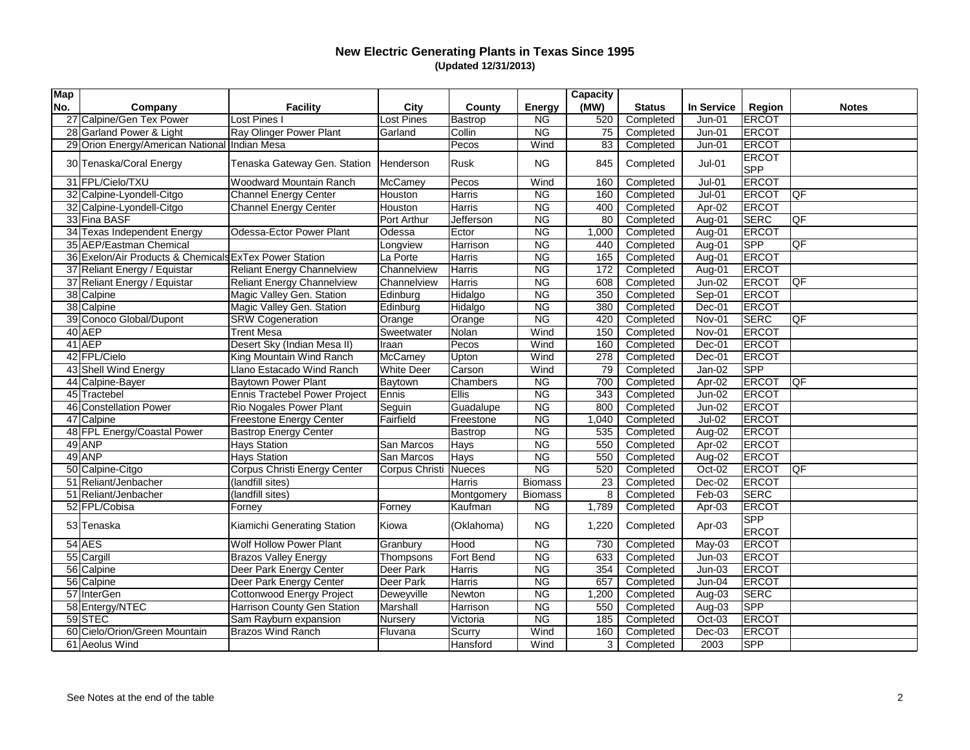| <b>Map</b> |                                                        |                                   |                   |               |                        | <b>Capacity</b> |               |               |                            |                          |
|------------|--------------------------------------------------------|-----------------------------------|-------------------|---------------|------------------------|-----------------|---------------|---------------|----------------------------|--------------------------|
| No.        | Company                                                | <b>Facility</b>                   | <b>City</b>       | <b>County</b> | <b>Energy</b>          | (MW)            | <b>Status</b> | In Service    | <b>Region</b>              | <b>Notes</b>             |
|            | 27 Calpine/Gen Tex Power                               | Lost Pines I                      | Lost Pines        | Bastrop       | <b>NG</b>              | 520             | Completed     | $Jun-01$      | <b>ERCOT</b>               |                          |
|            | 28 Garland Power & Light                               | Ray Olinger Power Plant           | Garland           | Collin        | <b>NG</b>              | 75              | Completed     | $Jun-01$      | ERCOT                      |                          |
|            | 29 Orion Energy/American National                      | Indian Mesa                       |                   | Pecos         | Wind                   | 83              | Completed     | $Jun-01$      | <b>ERCOT</b>               |                          |
|            | 30 Tenaska/Coral Energy                                | Tenaska Gateway Gen. Station      | Henderson         | Rusk          | <b>NG</b>              | 845             | Completed     | $Jul-01$      | <b>ERCOT</b><br><b>SPP</b> |                          |
|            | 31 FPL/Cielo/TXU                                       | <b>Woodward Mountain Ranch</b>    | McCamey           | Pecos         | Wind                   | 160             | Completed     | $Jul-01$      | ERCOT                      |                          |
|            | 32 Calpine-Lyondell-Citgo                              | <b>Channel Energy Center</b>      | Houston           | Harris        | <b>NG</b>              | 160             | Completed     | $Jul-01$      | ERCOT                      | <b>QF</b>                |
|            | 32 Calpine-Lyondell-Citgo                              | Channel Energy Center             | Houston           | <b>Harris</b> | $\overline{\text{NG}}$ | 400             | Completed     | Apr-02        | ERCOT                      |                          |
|            | 33 Fina BASF                                           |                                   | Port Arthur       | Jefferson     | <b>NG</b>              | 80              | Completed     | Aug-01        | <b>SERC</b>                | <b>QF</b>                |
|            | 34 Texas Independent Energy                            | Odessa-Ector Power Plant          | Odessa            | Ector         | <b>NG</b>              | 1,000           | Completed     | Aug-01        | ERCOT                      |                          |
|            | 35 AEP/Eastman Chemical                                |                                   | Longview          | Harrison      | <b>NG</b>              | 440             | Completed     | Aug-01        | <b>SPP</b>                 | $\overline{\mathsf{QF}}$ |
|            | 36 Exelon/Air Products & Chemicals ExTex Power Station |                                   | La Porte          | Harris        | <b>NG</b>              | 165             | Completed     | Aug-01        | <b>ERCOT</b>               |                          |
|            | 37 Reliant Energy / Equistar                           | <b>Reliant Energy Channelview</b> | Channelview       | <b>Harris</b> | $\overline{\text{NG}}$ | 172             | Completed     | Aug-01        | <b>ERCOT</b>               |                          |
|            | 37 Reliant Energy / Equistar                           | <b>Reliant Energy Channelview</b> | Channelview       | Harris        | <b>NG</b>              | 608             | Completed     | $Jun-02$      | <b>ERCOT</b>               | <b>QF</b>                |
|            | 38 Calpine                                             | Magic Valley Gen. Station         | Edinburg          | Hidalgo       | NG                     | 350             | Completed     | Sep-01        | <b>ERCOT</b>               |                          |
|            | 38 Calpine                                             | Magic Valley Gen. Station         | Edinburg          | Hidalgo       | <b>NG</b>              | 380             | Completed     | Dec-01        | ERCOT                      |                          |
|            | 39 Conoco Global/Dupont                                | <b>SRW Cogeneration</b>           | Orange            | Orange        | N <sub>G</sub>         | 420             | Completed     | Nov-01        | SERC                       | <b>QF</b>                |
|            | $40$ AEP                                               | <b>Trent Mesa</b>                 | Sweetwater        | Nolan         | Wind                   | 150             | Completed     | Nov-01        | ERCOT                      |                          |
|            | $41$ AEP                                               | Desert Sky (Indian Mesa II)       | Iraan             | Pecos         | Wind                   | 160             | Completed     | Dec-01        | <b>ERCOT</b>               |                          |
|            | 42 FPL/Cielo                                           | King Mountain Wind Ranch          | McCamey           | Upton         | Wind                   | 278             | Completed     | Dec-01        | ERCOT                      |                          |
|            | 43 Shell Wind Energy                                   | Llano Estacado Wind Ranch         | <b>White Deer</b> | Carson        | Wind                   | 79              | Completed     | Jan-02        | <b>SPP</b>                 |                          |
|            | 44 Calpine-Bayer                                       | <b>Baytown Power Plant</b>        | Baytown           | Chambers      | <b>NG</b>              | 700             | Completed     | Apr-02        | ERCOT                      | <b>QF</b>                |
|            | 45 Tractebel                                           | Ennis Tractebel Power Project     | Ennis             | Ellis         | <b>NG</b>              | 343             | Completed     | $Jun-02$      | ERCOT                      |                          |
|            | 46 Constellation Power                                 | <b>Rio Nogales Power Plant</b>    | Seguin            | Guadalupe     | <b>NG</b>              | 800             | Completed     | Jun-02        | <b>ERCOT</b>               |                          |
|            | 47 Calpine                                             | <b>Freestone Energy Center</b>    | Fairfield         | Freestone     | <b>NG</b>              | 1,040           | Completed     | <b>Jul-02</b> | <b>ERCOT</b>               |                          |
|            | 48 FPL Energy/Coastal Power                            | <b>Bastrop Energy Center</b>      |                   | Bastrop       | <b>NG</b>              | 535             | Completed     | Aug-02        | <b>ERCOT</b>               |                          |
|            | $49$ ANP                                               | <b>Hays Station</b>               | San Marcos        | Hays          | <b>NG</b>              | 550             | Completed     | Apr-02        | <b>ERCOT</b>               |                          |
|            | $49$ ANP                                               | <b>Hays Station</b>               | San Marcos        | Hays          | <b>NG</b>              | 550             | Completed     | Aug-02        | ERCOT                      |                          |
|            | 50 Calpine-Citgo                                       | Corpus Christi Energy Center      | Corpus Christi    | Nueces        | N <sub>G</sub>         | 520             | Completed     | Oct-02        | ERCOT                      | $\overline{\mathsf{QF}}$ |
|            | 51 Reliant/Jenbacher                                   | (landfill sites)                  |                   | Harris        | <b>Biomass</b>         | 23              | Completed     | $Dec-02$      | <b>ERCOT</b>               |                          |
|            | 51 Reliant/Jenbacher                                   | (landfill sites)                  |                   | Montgomery    | <b>Biomass</b>         | 8               | Completed     | Feb-03        | <b>SERC</b>                |                          |
|            | 52 FPL/Cobisa                                          | Forney                            | Forney            | Kaufman       | <b>NG</b>              | 1,789           | Completed     | Apr-03        | <b>ERCOT</b>               |                          |
|            | 53 Tenaska                                             | Kiamichi Generating Station       | Kiowa             | (Oklahoma)    | <b>NG</b>              | 1,220           | Completed     | Apr-03        | <b>SPP</b><br><b>ERCOT</b> |                          |
|            | $54$ AES                                               | <b>Wolf Hollow Power Plant</b>    | Granbury          | Hood          | $NG$                   | 730             | Completed     | May-03        | ERCOT                      |                          |
|            | 55 Cargill                                             | <b>Brazos Valley Energy</b>       | Thompsons         | Fort Bend     | <b>NG</b>              | 633             | Completed     | $Jun-03$      | <b>ERCOT</b>               |                          |
|            | 56 Calpine                                             | Deer Park Energy Center           | Deer Park         | Harris        | <b>NG</b>              | 354             | Completed     | $Jun-03$      | <b>ERCOT</b>               |                          |
|            | 56 Calpine                                             | Deer Park Energy Center           | Deer Park         | Harris        | <b>NG</b>              | 657             | Completed     | $Jun-04$      | <b>ERCOT</b>               |                          |
|            | 57 InterGen                                            | <b>Cottonwood Energy Project</b>  | Deweyville        | Newton        | NG                     | 1,200           | Completed     | Aug-03        | <b>SERC</b>                |                          |
|            | 58 Entergy/NTEC                                        | Harrison County Gen Station       | Marshall          | Harrison      | NG                     | 550             | Completed     | Aug-03        | <b>SPP</b>                 |                          |
|            | $59 $ STEC                                             | Sam Rayburn expansion             | Nursery           | Victoria      | NG                     | 185             | Completed     | Oct-03        | <b>ERCOT</b>               |                          |
|            | 60 Cielo/Orion/Green Mountain                          | <b>Brazos Wind Ranch</b>          | Fluvana           | Scurry        | Wind                   | 160             | Completed     | $Dec-03$      | <b>ERCOT</b>               |                          |
|            | 61 Aeolus Wind                                         |                                   |                   | Hansford      | Wind                   | 3               | Completed     | 2003          | <b>SPP</b>                 |                          |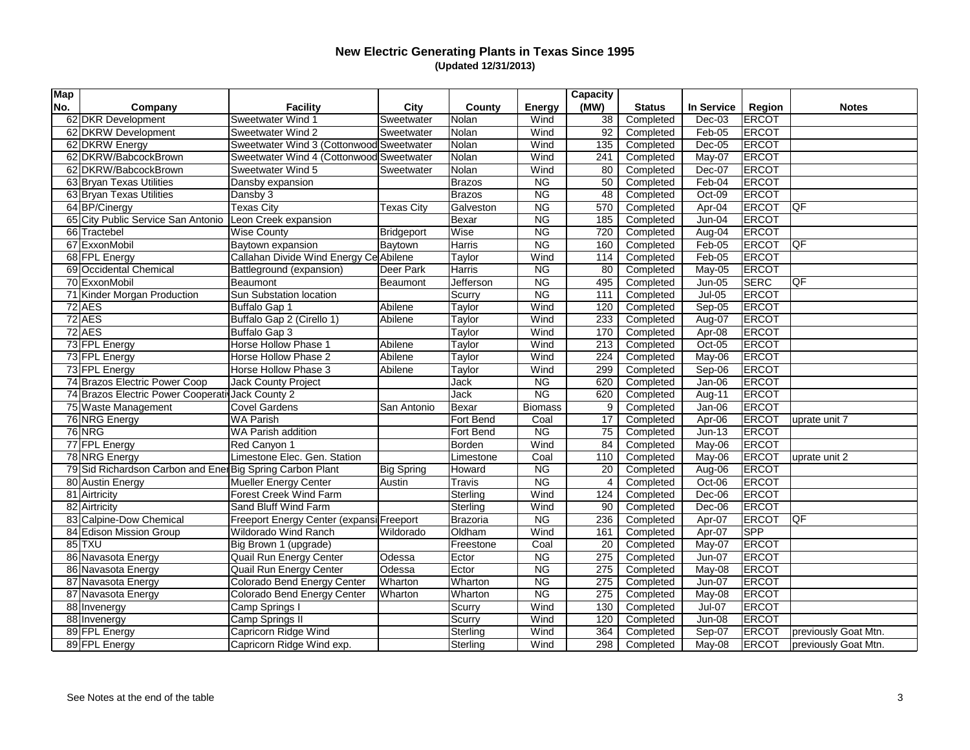| <b>Map</b> |                                                           |                                          |                   |               |                          | Capacity       |               |               |               |                      |
|------------|-----------------------------------------------------------|------------------------------------------|-------------------|---------------|--------------------------|----------------|---------------|---------------|---------------|----------------------|
| No.        | Company                                                   | <b>Facility</b>                          | City              | County        | <b>Energy</b>            | (MW)           | <b>Status</b> | In Service    | <b>Region</b> | <b>Notes</b>         |
|            | 62 DKR Development                                        | <b>Sweetwater Wind 1</b>                 | Sweetwater        | Nolan         | Wind                     | 38             | Completed     | $Dec-03$      | ERCOT         |                      |
|            | 62 DKRW Development                                       | <b>Sweetwater Wind 2</b>                 | Sweetwater        | Nolan         | Wind                     | 92             | Completed     | Feb-05        | <b>ERCOT</b>  |                      |
|            | 62 DKRW Energy                                            | Sweetwater Wind 3 (Cottonwood Sweetwater |                   | Nolan         | Wind                     | 135            | Completed     | $Dec-05$      | <b>ERCOT</b>  |                      |
|            | 62 DKRW/BabcockBrown                                      | Sweetwater Wind 4 (Cottonwood Sweetwater |                   | Nolan         | Wind                     | 241            | Completed     | May-07        | <b>ERCOT</b>  |                      |
|            | 62 DKRW/BabcockBrown                                      | Sweetwater Wind 5                        | Sweetwater        | Nolan         | Wind                     | 80             | Completed     | Dec-07        | <b>ERCOT</b>  |                      |
|            | 63 Bryan Texas Utilities                                  | Dansby expansion                         |                   | Brazos        | <b>NG</b>                | 50             | Completed     | Feb-04        | <b>ERCOT</b>  |                      |
|            | 63 Bryan Texas Utilities                                  | Dansby 3                                 |                   | Brazos        | <b>NG</b>                | 48             | Completed     | Oct-09        | <b>ERCOT</b>  |                      |
|            | 64 BP/Cinergy                                             | Texas City                               | <b>Texas City</b> | Galveston     | <b>NG</b>                | 570            | Completed     | Apr-04        | <b>ERCOT</b>  | <b>QF</b>            |
|            | 65 City Public Service San Antonio                        | Leon Creek expansion                     |                   | Bexar         | <b>NG</b>                | 185            | Completed     | Jun-04        | <b>ERCOT</b>  |                      |
|            | 66 Tractebel                                              | <b>Wise County</b>                       | <b>Bridgeport</b> | Wise          | <b>NG</b>                | 720            | Completed     | Aug-04        | <b>ERCOT</b>  |                      |
|            | 67 ExxonMobil                                             | Baytown expansion                        | Baytown           | Harris        | <b>NG</b>                | 160            | Completed     | Feb-05        | ERCOT         | <b>QF</b>            |
|            | 68 FPL Energy                                             | Callahan Divide Wind Energy Ce Abilene   |                   | Taylor        | Wind                     | 114            | Completed     | Feb-05        | ERCOT         |                      |
|            | 69 Occidental Chemical                                    | Battleground (expansion)                 | Deer Park         | Harris        | <b>NG</b>                | 80             | Completed     | May-05        | <b>ERCOT</b>  |                      |
|            | 70 ExxonMobil                                             | Beaumont                                 | Beaumont          | Jefferson     | <b>NG</b>                | 495            | Completed     | $Jun-05$      | <b>SERC</b>   | QF                   |
|            | 71 Kinder Morgan Production                               | <b>Sun Substation location</b>           |                   | Scurry        | <b>NG</b>                | 111            | Completed     | <b>Jul-05</b> | <b>ERCOT</b>  |                      |
|            | $72$ AES                                                  | Buffalo Gap 1                            | Abilene           | Taylor        | Wind                     | 120            | Completed     | Sep-05        | <b>ERCOT</b>  |                      |
|            | $72$ AES                                                  | Buffalo Gap 2 (Cirello 1)                | Abilene           | Taylor        | $\overline{\text{Wind}}$ | 233            | Completed     | Aug-07        | <b>ERCOT</b>  |                      |
|            | $72$ AES                                                  | Buffalo Gap 3                            |                   | Taylor        | Wind                     | 170            | Completed     | Apr-08        | <b>ERCOT</b>  |                      |
|            | 73 FPL Energy                                             | Horse Hollow Phase 1                     | Abilene           | Taylor        | Wind                     | 213            | Completed     | Oct-05        | <b>ERCOT</b>  |                      |
|            | 73 FPL Energy                                             | Horse Hollow Phase 2                     | Abilene           | Taylor        | Wind                     | 224            | Completed     | May-06        | <b>ERCOT</b>  |                      |
|            | 73 FPL Energy                                             | Horse Hollow Phase 3                     | Abilene           | Taylor        | Wind                     | 299            | Completed     | Sep-06        | ERCOT         |                      |
|            | 74 Brazos Electric Power Coop                             | Jack County Project                      |                   | Jack          | <b>NG</b>                | 620            | Completed     | Jan-06        | ERCOT         |                      |
|            | 74 Brazos Electric Power Cooperati Jack County 2          |                                          |                   | Jack          | <b>NG</b>                | 620            | Completed     | Aug-11        | ERCOT         |                      |
|            | 75 Waste Management                                       | <b>Covel Gardens</b>                     | San Antonio       | Bexar         | <b>Biomass</b>           | 9              | Completed     | Jan-06        | ERCOT         |                      |
|            | 76 NRG Energy                                             | <b>WA Parish</b>                         |                   | Fort Bend     | Coal                     | 17             | Completed     | Apr-06        | <b>ERCOT</b>  | uprate unit 7        |
|            | 76 NRG                                                    | <b>WA Parish addition</b>                |                   | Fort Bend     | <b>NG</b>                | 75             | Completed     | $Jun-13$      | <b>ERCOT</b>  |                      |
|            | 77 FPL Energy                                             | Red Canyon 1                             |                   | Borden        | Wind                     | 84             | Completed     | May-06        | <b>ERCOT</b>  |                      |
|            | 78 NRG Energy                                             | Limestone Elec. Gen. Station             |                   | Limestone     | Coal                     | 110            | Completed     | May-06        | <b>ERCOT</b>  | uprate unit 2        |
|            | 79 Sid Richardson Carbon and Ener Big Spring Carbon Plant |                                          | <b>Big Spring</b> | Howard        | <b>NG</b>                | 20             | Completed     | Aug-06        | <b>ERCOT</b>  |                      |
|            | 80 Austin Energy                                          | Mueller Energy Center                    | Austin            | <b>Travis</b> | <b>NG</b>                | $\overline{4}$ | Completed     | Oct-06        | <b>ERCOT</b>  |                      |
|            | 81 Airtricity                                             | <b>Forest Creek Wind Farm</b>            |                   | Sterling      | Wind                     | 124            | Completed     | Dec-06        | <b>ERCOT</b>  |                      |
|            | 82 Airtricity                                             | Sand Bluff Wind Farm                     |                   | Sterling      | Wind                     | 90             | Completed     | Dec-06        | <b>ERCOT</b>  |                      |
|            | 83 Calpine-Dow Chemical                                   | Freeport Energy Center (expansi Freeport |                   | Brazoria      | <b>NG</b>                | 236            | Completed     | Apr-07        | <b>ERCOT</b>  | <b>QF</b>            |
|            | 84 Edison Mission Group                                   | <b>Wildorado Wind Ranch</b>              | Wildorado         | Oldham        | Wind                     | 161            | Completed     | Apr-07        | <b>SPP</b>    |                      |
|            | $85$ TXU                                                  | Big Brown 1 (upgrade)                    |                   | Freestone     | Coal                     | 20             | Completed     | May-07        | <b>ERCOT</b>  |                      |
|            | 86 Navasota Energy                                        | Quail Run Energy Center                  | Odessa            | Ector         | <b>NG</b>                | 275            | Completed     | Jun-07        | <b>ERCOT</b>  |                      |
|            | 86 Navasota Energy                                        | Quail Run Energy Center                  | Odessa            | Ector         | <b>NG</b>                | 275            | Completed     | May-08        | <b>ERCOT</b>  |                      |
|            | 87 Navasota Energy                                        | Colorado Bend Energy Center              | Wharton           | Wharton       | <b>NG</b>                | 275            | Completed     | Jun-07        | <b>ERCOT</b>  |                      |
|            | 87 Navasota Energy                                        | <b>Colorado Bend Energy Center</b>       | Wharton           | Wharton       | <b>NG</b>                | 275            | Completed     | May-08        | <b>ERCOT</b>  |                      |
|            | 88 Invenergy                                              | Camp Springs I                           |                   | Scurry        | Wind                     | 130            | Completed     | Jul-07        | <b>ERCOT</b>  |                      |
|            | 88 Invenergy                                              | <b>Camp Springs II</b>                   |                   | Scurry        | Wind                     | 120            | Completed     | Jun-08        | ERCOT         |                      |
|            | 89 FPL Energy                                             | Capricorn Ridge Wind                     |                   | Sterling      | Wind                     | 364            | Completed     | Sep-07        | <b>ERCOT</b>  | previously Goat Mtn. |
|            | 89 FPL Energy                                             | Capricorn Ridge Wind exp.                |                   | Sterling      | Wind                     | 298            | Completed     | May-08        | <b>ERCOT</b>  | previously Goat Mtn. |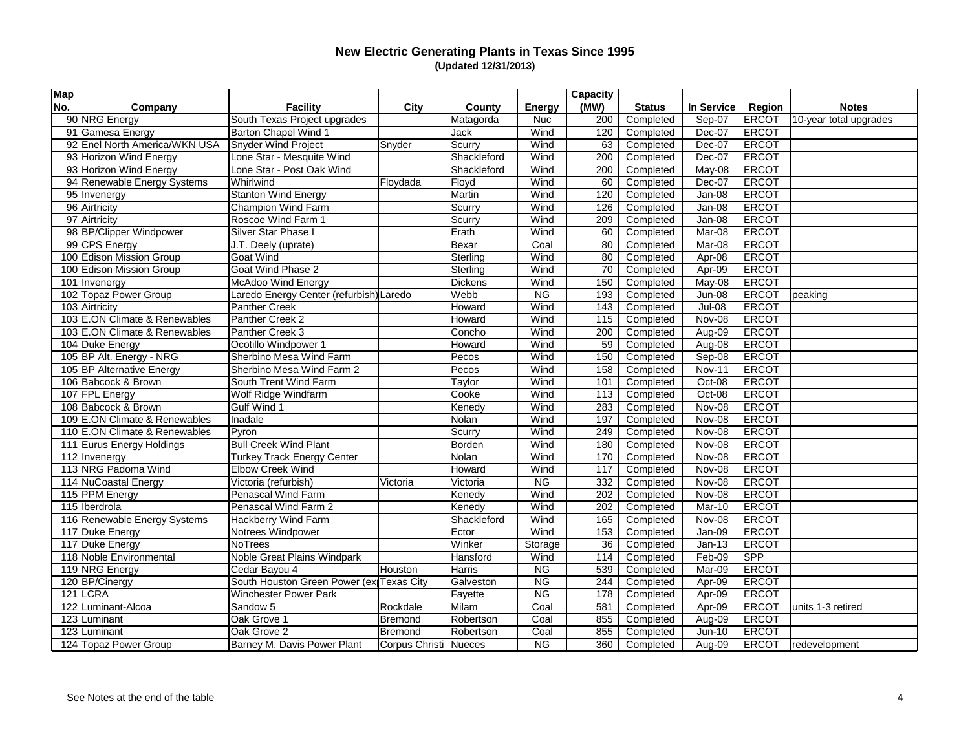| <b>Map</b> |                               |                                          |                       |                |                          | Capacity |               |               |               |                        |
|------------|-------------------------------|------------------------------------------|-----------------------|----------------|--------------------------|----------|---------------|---------------|---------------|------------------------|
| No.        | Company                       | <b>Facility</b>                          | City                  | <b>County</b>  | <b>Energy</b>            | (MW)     | <b>Status</b> | In Service    | <b>Region</b> | <b>Notes</b>           |
|            | 90 NRG Energy                 | South Texas Project upgrades             |                       | Matagorda      | <b>Nuc</b>               | 200      | Completed     | Sep-07        | <b>ERCOT</b>  | 10-year total upgrades |
|            | 91 Gamesa Energy              | <b>Barton Chapel Wind 1</b>              |                       | Jack           | Wind                     | 120      | Completed     | Dec-07        | ERCOT         |                        |
|            | 92 Enel North America/WKN USA | <b>Snyder Wind Project</b>               | Snyder                | Scurry         | Wind                     | 63       | Completed     | Dec-07        | <b>ERCOT</b>  |                        |
|            | 93 Horizon Wind Energy        | Lone Star - Mesquite Wind                |                       | Shackleford    | Wind                     | 200      | Completed     | Dec-07        | <b>ERCOT</b>  |                        |
|            | 93 Horizon Wind Energy        | Lone Star - Post Oak Wind                |                       | Shackleford    | Wind                     | 200      | Completed     | May-08        | <b>ERCOT</b>  |                        |
|            | 94 Renewable Energy Systems   | Whirlwind                                | Floydada              | Floyd          | Wind                     | 60       | Completed     | Dec-07        | <b>ERCOT</b>  |                        |
|            | 95 Invenergy                  | <b>Stanton Wind Energy</b>               |                       | Martin         | Wind                     | 120      | Completed     | Jan-08        | <b>ERCOT</b>  |                        |
|            | 96 Airtricity                 | Champion Wind Farm                       |                       | Scurry         | Wind                     | 126      | Completed     | Jan-08        | <b>ERCOT</b>  |                        |
|            | 97 Airtricity                 | <b>Roscoe Wind Farm 1</b>                |                       | Scurry         | Wind                     | 209      | Completed     | Jan-08        | <b>ERCOT</b>  |                        |
|            | 98 BP/Clipper Windpower       | Silver Star Phase I                      |                       | Erath          | Wind                     | 60       | Completed     | Mar-08        | <b>ERCOT</b>  |                        |
|            | 99 CPS Energy                 | J.T. Deely (uprate)                      |                       | Bexar          | Coal                     | 80       | Completed     | Mar-08        | ERCOT         |                        |
|            | 100 Edison Mission Group      | Goat Wind                                |                       | Sterling       | Wind                     | 80       | Completed     | Apr-08        | <b>ERCOT</b>  |                        |
|            | 100 Edison Mission Group      | <b>Goat Wind Phase 2</b>                 |                       | Sterling       | Wind                     | 70       | Completed     | Apr- $09$     | <b>ERCOT</b>  |                        |
|            | 101 Invenergy                 | McAdoo Wind Energy                       |                       | <b>Dickens</b> | Wind                     | 150      | Completed     | May-08        | <b>ERCOT</b>  |                        |
|            | 102 Topaz Power Group         | Laredo Energy Center (refurbish) Laredo  |                       | Webb           | <b>NG</b>                | 193      | Completed     | Jun-08        | <b>ERCOT</b>  | peaking                |
|            | 103 Airtricity                | <b>Panther Creek</b>                     |                       | Howard         | Wind                     | 143      | Completed     | <b>Jul-08</b> | <b>ERCOT</b>  |                        |
|            | 103 E.ON Climate & Renewables | Panther Creek 2                          |                       | Howard         | $\overline{\text{Wind}}$ | 115      | Completed     | Nov-08        | <b>ERCOT</b>  |                        |
|            | 103 E.ON Climate & Renewables | Panther Creek 3                          |                       | Concho         | Wind                     | 200      | Completed     | Aug-09        | <b>ERCOT</b>  |                        |
|            | 104 Duke Energy               | Ocotillo Windpower 1                     |                       | Howard         | Wind                     | 59       | Completed     | Aug-08        | <b>ERCOT</b>  |                        |
|            | 105 BP Alt. Energy - NRG      | Sherbino Mesa Wind Farm                  |                       | Pecos          | Wind                     | 150      | Completed     | Sep-08        | <b>ERCOT</b>  |                        |
|            | 105 BP Alternative Energy     | Sherbino Mesa Wind Farm 2                |                       | Pecos          | Wind                     | 158      | Completed     | <b>Nov-11</b> | ERCOT         |                        |
|            | 106 Babcock & Brown           | South Trent Wind Farm                    |                       | Taylor         | Wind                     | 101      | Completed     | Oct-08        | ERCOT         |                        |
|            | 107 FPL Energy                | Wolf Ridge Windfarm                      |                       | Cooke          | Wind                     | 113      | Completed     | Oct-08        | ERCOT         |                        |
|            | 108 Babcock & Brown           | <b>Gulf Wind 1</b>                       |                       | Kenedy         | Wind                     | 283      | Completed     | Nov-08        | ERCOT         |                        |
|            | 109 E.ON Climate & Renewables | Inadale                                  |                       | Nolan          | Wind                     | 197      | Completed     | Nov-08        | ERCOT         |                        |
|            | 110 E.ON Climate & Renewables | Pyron                                    |                       | Scurry         | Wind                     | 249      | Completed     | Nov-08        | <b>ERCOT</b>  |                        |
|            | 111 Eurus Energy Holdings     | <b>Bull Creek Wind Plant</b>             |                       | Borden         | Wind                     | 180      | Completed     | Nov-08        | <b>ERCOT</b>  |                        |
|            | 112 Invenergy                 | <b>Turkey Track Energy Center</b>        |                       | Nolan          | Wind                     | 170      | Completed     | Nov-08        | <b>ERCOT</b>  |                        |
|            | 113 NRG Padoma Wind           | <b>Elbow Creek Wind</b>                  |                       | Howard         | Wind                     | 117      | Completed     | Nov-08        | ERCOT         |                        |
|            | 114 NuCoastal Energy          | Victoria (refurbish)                     | Victoria              | Victoria       | <b>NG</b>                | 332      | Completed     | Nov-08        | ERCOT         |                        |
|            | 115 PPM Energy                | Penascal Wind Farm                       |                       | Kenedy         | Wind                     | 202      | Completed     | Nov-08        | ERCOT         |                        |
|            | 115 Iberdrola                 | Penascal Wind Farm 2                     |                       | Kenedy         | Wind                     | 202      | Completed     | Mar-10        | <b>ERCOT</b>  |                        |
|            | 116 Renewable Energy Systems  | Hackberry Wind Farm                      |                       | Shackleford    | Wind                     | 165      | Completed     | Nov-08        | ERCOT         |                        |
|            | 117 Duke Energy               | Notrees Windpower                        |                       | Ector          | Wind                     | 153      | Completed     | Jan-09        | <b>ERCOT</b>  |                        |
|            | 117 Duke Energy               | NoTrees                                  |                       | Winker         | Storage                  | 36       | Completed     | $Jan-13$      | <b>ERCOT</b>  |                        |
|            | 118 Noble Environmental       | <b>Noble Great Plains Windpark</b>       |                       | Hansford       | Wind                     | 114      | Completed     | Feb-09        | <b>SPP</b>    |                        |
|            | 119 NRG Energy                | Cedar Bayou 4                            | Houston               | Harris         | <b>NG</b>                | 539      | Completed     | Mar-09        | <b>ERCOT</b>  |                        |
|            | 120 BP/Cinergy                | South Houston Green Power (ex Texas City |                       | Galveston      | <b>NG</b>                | 244      | Completed     | Apr-09        | <b>ERCOT</b>  |                        |
|            | $121$ LCRA                    | <b>Winchester Power Park</b>             |                       | Fayette        | <b>NG</b>                | 178      | Completed     | Apr-09        | <b>ERCOT</b>  |                        |
|            | 122 Luminant-Alcoa            | Sandow 5                                 | Rockdale              | Milam          | Coal                     | 581      | Completed     | Apr-09        | ERCOT         | units 1-3 retired      |
|            | 123 Luminant                  | Oak Grove 1                              | <b>Bremond</b>        | Robertson      | Coal                     | 855      | Completed     | Aug-09        | ERCOT         |                        |
|            | 123 Luminant                  | Oak Grove 2                              | <b>Bremond</b>        | Robertson      | Coal                     | 855      | Completed     | $Jun-10$      | <b>ERCOT</b>  |                        |
|            | 124 Topaz Power Group         | Barney M. Davis Power Plant              | Corpus Christi Nueces |                | <b>NG</b>                | 360      | Completed     | Aug-09        | <b>ERCOT</b>  | redevelopment          |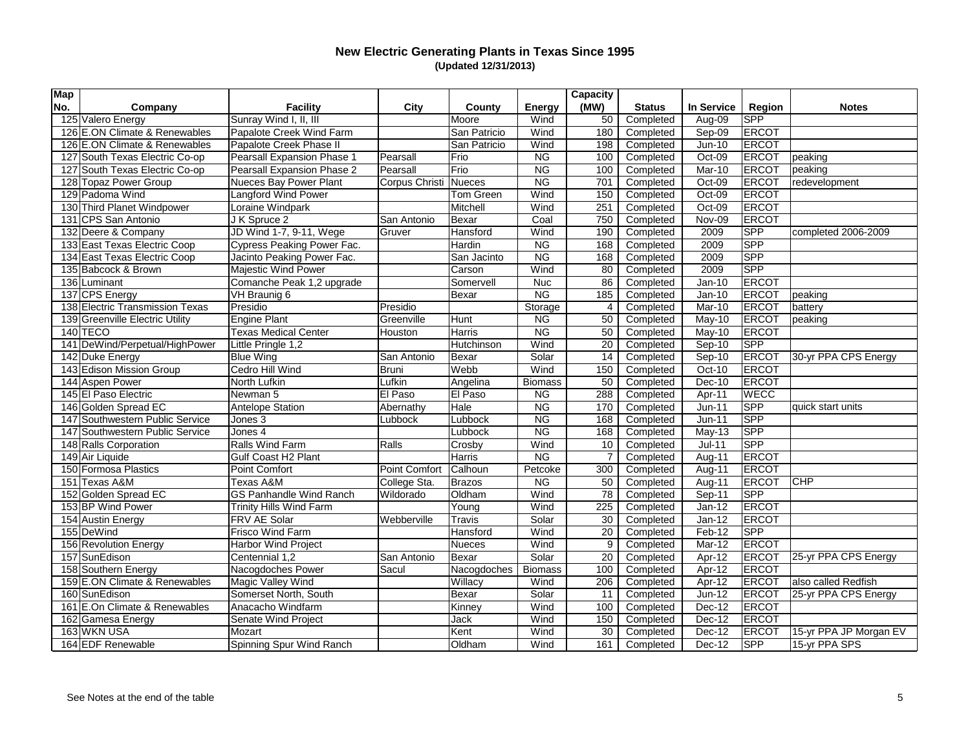| <b>Map</b> |                                 |                                |                |               |                | Capacity       |                       |                   |               |                        |
|------------|---------------------------------|--------------------------------|----------------|---------------|----------------|----------------|-----------------------|-------------------|---------------|------------------------|
| No.        | Company                         | <b>Facility</b>                | City           | County        | <b>Energy</b>  | (MW)           | <b>Status</b>         | <b>In Service</b> | <b>Region</b> | <b>Notes</b>           |
|            | 125 Valero Energy               | Sunray Wind I, II, III         |                | Moore         | Wind           | 50             | Completed             | Aug-09            | <b>SPP</b>    |                        |
|            | 126 E.ON Climate & Renewables   | Papalote Creek Wind Farm       |                | San Patricio  | Wind           | 180            | Completed             | Sep-09            | <b>ERCOT</b>  |                        |
|            | 126 E.ON Climate & Renewables   | Papalote Creek Phase II        |                | San Patricio  | Wind           | 198            | Completed             | Jun-10            | <b>ERCOT</b>  |                        |
|            | 127 South Texas Electric Co-op  | Pearsall Expansion Phase 1     | Pearsall       | Frio          | <b>NG</b>      | 100            | Completed             | Oct-09            | <b>ERCOT</b>  | peaking                |
|            | 127 South Texas Electric Co-op  | Pearsall Expansion Phase 2     | Pearsall       | $ F$ rio      | <b>NG</b>      | 100            | Completed             | Mar-10            | ERCOT         | peaking                |
|            | 128 Topaz Power Group           | Nueces Bay Power Plant         | Corpus Christi | Nueces        | <b>NG</b>      | 701            | Completed             | Oct-09            | ERCOT         | redevelopment          |
|            | 129 Padoma Wind                 | Langford Wind Power            |                | Tom Green     | Wind           | 150            | Completed             | Oct-09            | <b>ERCOT</b>  |                        |
|            | 130 Third Planet Windpower      | Loraine Windpark               |                | Mitchell      | Wind           | 251            | Completed             | Oct-09            | <b>ERCOT</b>  |                        |
|            | 131 CPS San Antonio             | J K Spruce 2                   | San Antonio    | Bexar         | Coal           | 750            | Completed             | Nov-09            | <b>ERCOT</b>  |                        |
|            | 132 Deere & Company             | JD Wind 1-7, 9-11, Wege        | Gruver         | Hansford      | Wind           | 190            | Completed             | 2009              | <b>SPP</b>    | completed 2006-2009    |
|            | 133 East Texas Electric Coop    | Cypress Peaking Power Fac.     |                | Hardin        | <b>NG</b>      | 168            | Completed             | 2009              | <b>SPP</b>    |                        |
|            | 134 East Texas Electric Coop    | Jacinto Peaking Power Fac.     |                | San Jacinto   | <b>NG</b>      | 168            | Completed             | 2009              | <b>SPP</b>    |                        |
|            | 135 Babcock & Brown             | <b>Majestic Wind Power</b>     |                | Carson        | Wind           | 80             | Completed             | 2009              | <b>SPP</b>    |                        |
|            | 136 Luminant                    | Comanche Peak 1,2 upgrade      |                | Somervell     | <b>Nuc</b>     | 86             | Completed             | $Jan-10$          | <b>ERCOT</b>  |                        |
|            | 137 CPS Energy                  | VH Braunig 6                   |                | Bexar         | <b>NG</b>      | 185            | Completed             | $Jan-10$          | ERCOT         | peaking                |
|            | 138 Electric Transmission Texas | Presidio                       | Presidio       |               | Storage        | $\overline{4}$ | Completed             | Mar-10            | <b>ERCOT</b>  | battery                |
|            | 139 Greenville Electric Utility | Engine Plant                   | Greenville     | Hunt          | <b>NG</b>      | 50             | Completed             | May-10            | <b>ERCOT</b>  | peaking                |
|            | $140$ TECO                      | <b>Texas Medical Center</b>    | Houston        | Harris        | <b>NG</b>      | 50             | Completed             | May-10            | <b>ERCOT</b>  |                        |
|            | 141 DeWind/Perpetual/HighPower  | Little Pringle 1,2             |                | Hutchinson    | Wind           | 20             | Completed             | Sep-10            | <b>SPP</b>    |                        |
|            | 142 Duke Energy                 | <b>Blue Wing</b>               | San Antonio    | Bexar         | Solar          | 14             | Completed             | Sep-10            | ERCOT         | 30-yr PPA CPS Energy   |
|            | 143 Edison Mission Group        | Cedro Hill Wind                | <b>Bruni</b>   | Webb          | Wind           | 150            | Completed             | Oct-10            | ERCOT         |                        |
|            | 144 Aspen Power                 | North Lufkin                   | Lufkin         | Angelina      | <b>Biomass</b> | 50             | Completed             | Dec-10            | <b>ERCOT</b>  |                        |
|            | 145 El Paso Electric            | Newman 5                       | El Paso        | El Paso       | <b>NG</b>      | 288            | Completed             | Apr-11            | <b>WECC</b>   |                        |
|            | 146 Golden Spread EC            | <b>Antelope Station</b>        | Abernathy      | Hale          | <b>NG</b>      | 170            | Completed             | $Jun-11$          | <b>SPP</b>    | quick start units      |
|            | 147 Southwestern Public Service | Jones 3                        | Lubbock        | Lubbock       | <b>NG</b>      | 168            | Completed             | $Jun-11$          | <b>SPP</b>    |                        |
|            | 147 Southwestern Public Service | Jones 4                        |                | Lubbock       | <b>NG</b>      | 168            | Completed             | May-13            | <b>SPP</b>    |                        |
|            | 148 Ralls Corporation           | <b>Ralls Wind Farm</b>         | Ralls          | Crosby        | Wind           | 10             | Completed             | $Jul-11$          | SPP           |                        |
|            | 149 Air Liquide                 | <b>Gulf Coast H2 Plant</b>     |                | Harris        | <b>NG</b>      | 7              | Completed             | Aug-11            | <b>ERCOT</b>  |                        |
|            | 150 Formosa Plastics            | Point Comfort                  | Point Comfort  | Calhoun       | Petcoke        | 300            | Completed             | Aug-11            | <b>ERCOT</b>  |                        |
|            | 151 Texas A&M                   | Texas A&M                      | College Sta.   | Brazos        | <b>NG</b>      | 50             | Completed             | Aug-11            | ERCOT         | <b>CHP</b>             |
|            | 152 Golden Spread EC            | <b>GS Panhandle Wind Ranch</b> | Wildorado      | <b>Oldham</b> | Wind           | 78             | Completed             | Sep-11            | <b>SPP</b>    |                        |
|            | 153 BP Wind Power               | <b>Trinity Hills Wind Farm</b> |                | Young         | Wind           | 225            | Completed             | $Jan-12$          | ERCOT         |                        |
|            | 154 Austin Energy               | <b>FRV AE Solar</b>            | Webberville    | <b>Travis</b> | Solar          | 30             | Completed             | Jan-12            | ERCOT         |                        |
|            | 155 DeWind                      | Frisco Wind Farm               |                | Hansford      | Wind           | 20             | Completed             | Feb-12            | <b>SPP</b>    |                        |
|            | 156 Revolution Energy           | Harbor Wind Project            |                | Nueces        | Wind           |                | $\boxed{9}$ Completed | Mar-12            | <b>ERCOT</b>  |                        |
|            | 157 SunEdison                   | Centennial 1,2                 | San Antonio    | Bexar         | Solar          | 20             | Completed             | Apr-12            | <b>ERCOT</b>  | 25-yr PPA CPS Energy   |
|            | 158 Southern Energy             | Nacogdoches Power              | Sacul          | Nacogdoches   | <b>Biomass</b> | 100            | Completed             | Apr-12            | <b>ERCOT</b>  |                        |
|            | 159 E.ON Climate & Renewables   | Magic Valley Wind              |                | Willacy       | Wind           | 206            | Completed             | Apr-12            | <b>ERCOT</b>  | also called Redfish    |
|            | 160 SunEdison                   | Somerset North, South          |                | Bexar         | Solar          | 11             | Completed             | $Jun-12$          | <b>ERCOT</b>  | 25-yr PPA CPS Energy   |
|            | 161 E.On Climate & Renewables   | Anacacho Windfarm              |                | Kinney        | Wind           | 100            | Completed             | Dec-12            | ERCOT         |                        |
|            | 162 Gamesa Energy               | Senate Wind Project            |                | Jack          | Wind           | 150            | Completed             | Dec-12            | <b>ERCOT</b>  |                        |
|            | 163 WKN USA                     | Mozart                         |                | Kent          | Wind           | 30             | Completed             | Dec-12            | <b>ERCOT</b>  | 15-yr PPA JP Morgan EV |
|            | 164 EDF Renewable               | Spinning Spur Wind Ranch       |                | Oldham        | Wind           | 161            | Completed             | Dec-12            | <b>SPP</b>    | 15-yr PPA SPS          |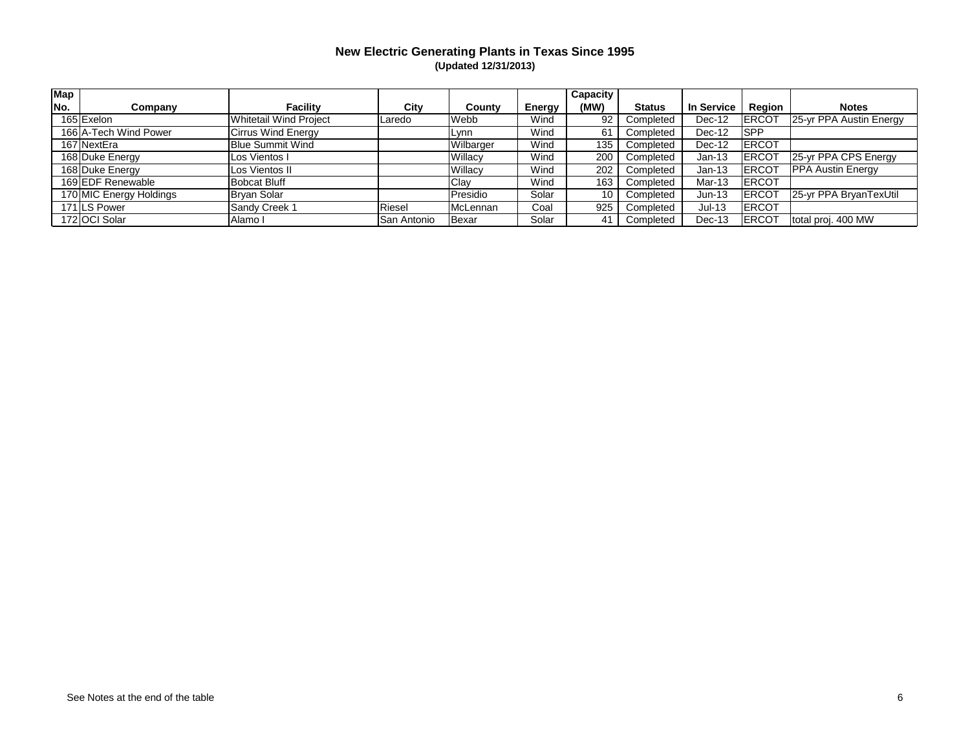| <b>Map</b> |                         |                               |             |           |               | <b>Capacity</b> |               |                   |              |                          |
|------------|-------------------------|-------------------------------|-------------|-----------|---------------|-----------------|---------------|-------------------|--------------|--------------------------|
| No.        | Companv                 | <b>Facility</b>               | City        | County    | <b>Energy</b> | (MW)            | <b>Status</b> | <b>In Service</b> | Region       | <b>Notes</b>             |
|            | 165 Exelon              | <b>Whitetail Wind Project</b> | Laredo      | Webb      | Wind          | 92              | Completed     | Dec-12            | <b>ERCOT</b> | 25-yr PPA Austin Energy  |
|            | 166 A-Tech Wind Power   | <b>Cirrus Wind Energy</b>     |             | Lynn      | Wind          | 61              | Completed     | Dec-12            | <b>SPP</b>   |                          |
|            | 167 NextEra             | <b>Blue Summit Wind</b>       |             | Wilbarger | Wind          | 135             | Completed     | Dec-12            | <b>ERCOT</b> |                          |
|            | 168 Duke Energy         | Los Vientos I                 |             | Willacy   | Wind          | 200             | Completed     | $Jan-13$          | <b>ERCOT</b> | 25-yr PPA CPS Energy     |
|            | 168 Duke Energy         | Los Vientos II                |             | Willacy   | Wind          | 202             | Completed     | $Jan-13$          | <b>ERCOT</b> | <b>PPA Austin Energy</b> |
|            | 169 EDF Renewable       | <b>Bobcat Bluff</b>           |             | Clay      | Wind          | 163             | Completed     | Mar-13            | <b>ERCOT</b> |                          |
|            | 170 MIC Energy Holdings | Bryan Solar                   |             | Presidio  | Solar         | 10              | Completed     | $Jun-13$          | <b>ERCOT</b> | 25-yr PPA BryanTexUtil   |
|            | 171 LS Power            | Sandy Creek 1                 | Riesel      | McLennan  | Coal          | 925             | Completed     | $Jul-13$          | <b>ERCOT</b> |                          |
|            | 172 OCI Solar           | Alamo                         | San Antonio | Bexar     | Solar         | 41              | Completed     | Dec-13            | <b>ERCOT</b> | total proj. 400 MW       |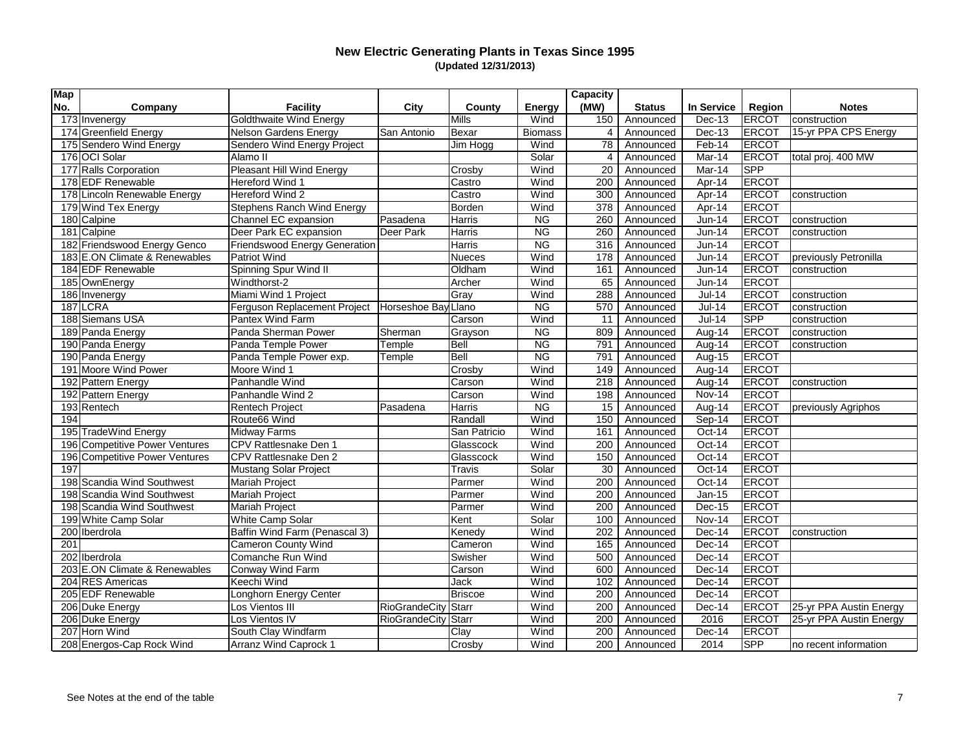| <b>Map</b> |                                |                                   |                     |               |                | <b>Capacity</b> |               |                   |               |                         |
|------------|--------------------------------|-----------------------------------|---------------------|---------------|----------------|-----------------|---------------|-------------------|---------------|-------------------------|
| No.        | Company                        | <b>Facility</b>                   | <b>City</b>         | County        | <b>Energy</b>  | (MW)            | <b>Status</b> | <b>In Service</b> | <b>Region</b> | <b>Notes</b>            |
|            | 173 Invenergy                  | Goldthwaite Wind Energy           |                     | <b>Mills</b>  | Wind           | 150             | Announced     | <b>Dec-13</b>     | <b>ERCOT</b>  | construction            |
|            | 174 Greenfield Energy          | Nelson Gardens Energy             | San Antonio         | Bexar         | <b>Biomass</b> | 4               | Announced     | <b>Dec-13</b>     | ERCOT         | 15-yr PPA CPS Energy    |
|            | 175 Sendero Wind Energy        | Sendero Wind Energy Project       |                     | Jim Hogg      | Wind           | 78              | Announced     | Feb-14            | <b>ERCOT</b>  |                         |
|            | 176 OCI Solar                  | Alamo II                          |                     |               | Solar          | 4               | Announced     | Mar-14            | ERCOT         | total proj. 400 MW      |
|            | 177 Ralls Corporation          | <b>Pleasant Hill Wind Energy</b>  |                     | Crosby        | Wind           | 20              | Announced     | Mar-14            | SPP           |                         |
|            | 178 EDF Renewable              | Hereford Wind 1                   |                     | Castro        | Wind           | 200             | Announced     | Apr-14            | <b>ERCOT</b>  |                         |
|            | 178 Lincoln Renewable Energy   | Hereford Wind 2                   |                     | Castro        | Wind           | 300             | Announced     | Apr-14            | ERCOT         | construction            |
|            | 179 Wind Tex Energy            | <b>Stephens Ranch Wind Energy</b> |                     | Borden        | Wind           | 378             | Announced     | Apr-14            | <b>ERCOT</b>  |                         |
|            | 180 Calpine                    | Channel EC expansion              | Pasadena            | Harris        | <b>NG</b>      | 260             | Announced     | <b>Jun-14</b>     | <b>ERCOT</b>  | construction            |
|            | 181 Calpine                    | Deer Park EC expansion            | Deer Park           | Harris        | <b>NG</b>      | 260             | Announced     | <b>Jun-14</b>     | ERCOT         | construction            |
|            | 182 Friendswood Energy Genco   | Friendswood Energy Generation     |                     | Harris        | NG             | 316             | Announced     | <b>Jun-14</b>     | ERCOT         |                         |
|            | 183 E.ON Climate & Renewables  | Patriot Wind                      |                     | <b>Nueces</b> | Wind           | 178             | Announced     | <b>Jun-14</b>     | ERCOT         | previously Petronilla   |
|            | 184 EDF Renewable              | Spinning Spur Wind II             |                     | Oldham        | Wind           | 161             | Announced     | <b>Jun-14</b>     | <b>ERCOT</b>  | construction            |
|            | 185 OwnEnergy                  | Windthorst-2                      |                     | Archer        | Wind           | 65              | Announced     | <b>Jun-14</b>     | <b>ERCOT</b>  |                         |
|            | 186 Invenergy                  | Miami Wind 1 Project              |                     | Gray          | Wind           | 288             | Announced     | $Jul-14$          | <b>ERCOT</b>  | construction            |
|            | $187$ LCRA                     | Ferguson Replacement Project      | Horseshoe Bay       | Llano         | <b>NG</b>      | 570             | Announced     | <b>Jul-14</b>     | <b>ERCOT</b>  | construction            |
|            | 188 Siemans USA                | <b>Pantex Wind Farm</b>           |                     | Carson        | Wind           | 11              | Announced     | <b>Jul-14</b>     | <b>SPP</b>    | construction            |
|            | 189 Panda Energy               | Panda Sherman Power               | Sherman             | Grayson       | <b>NG</b>      | 809             | Announced     | Aug-14            | <b>ERCOT</b>  | construction            |
|            | 190 Panda Energy               | Panda Temple Power                | Temple              | Bell          | <b>NG</b>      | 791             | Announced     | Aug-14            | <b>ERCOT</b>  | construction            |
|            | 190 Panda Energy               | Panda Temple Power exp.           | Temple              | Bell          | N <sub>G</sub> | 791             | Announced     | Aug-15            | <b>ERCOT</b>  |                         |
|            | 191 Moore Wind Power           | Moore Wind 1                      |                     | Crosby        | Wind           | 149             | Announced     | Aug-14            | ERCOT         |                         |
|            | 192 Pattern Energy             | Panhandle Wind                    |                     | Carson        | Wind           | 218             | Announced     | Aug-14            | ERCOT         | construction            |
|            | 192 Pattern Energy             | Panhandle Wind 2                  |                     | Carson        | Wind           | 198             | Announced     | <b>Nov-14</b>     | ERCOT         |                         |
|            | 193 Rentech                    | <b>Rentech Project</b>            | Pasadena            | <b>Harris</b> | <b>NG</b>      | 15              | Announced     | Aug-14            | <b>ERCOT</b>  | previously Agriphos     |
| 194        |                                | Route66 Wind                      |                     | Randall       | Wind           | 150             | Announced     | Sep-14            | ERCOT         |                         |
|            | 195 TradeWind Energy           | Midway Farms                      |                     | San Patricio  | Wind           | 161             | Announced     | Oct-14            | <b>ERCOT</b>  |                         |
|            | 196 Competitive Power Ventures | <b>CPV</b> Rattlesnake Den 1      |                     | Glasscock     | Wind           | 200             | Announced     | Oct-14            | <b>ERCOT</b>  |                         |
|            | 196 Competitive Power Ventures | CPV Rattlesnake Den 2             |                     | Glasscock     | Wind           | 150             | Announced     | Oct-14            | <b>ERCOT</b>  |                         |
| 197        |                                | <b>Mustang Solar Project</b>      |                     | <b>Travis</b> | Solar          | 30              | Announced     | Oct-14            | <b>ERCOT</b>  |                         |
|            | 198 Scandia Wind Southwest     | <b>Mariah Project</b>             |                     | Parmer        | Wind           | 200             | Announced     | Oct-14            | ERCOT         |                         |
|            | 198 Scandia Wind Southwest     | <b>Mariah Project</b>             |                     | Parmer        | Wind           | 200             | Announced     | Jan-15            | <b>ERCOT</b>  |                         |
|            | 198 Scandia Wind Southwest     | <b>Mariah Project</b>             |                     | Parmer        | Wind           | 200             | Announced     | Dec-15            | <b>ERCOT</b>  |                         |
|            | 199 White Camp Solar           | White Camp Solar                  |                     | Kent          | Solar          | 100             | Announced     | Nov-14            | <b>ERCOT</b>  |                         |
|            | 200 Iberdrola                  | Baffin Wind Farm (Penascal 3)     |                     | Kenedy        | Wind           | 202             | Announced     | Dec-14            | <b>ERCOT</b>  | construction            |
| 201        |                                | <b>Cameron County Wind</b>        |                     | Cameron       | Wind           |                 | 165 Announced | Dec-14            | <b>ERCOT</b>  |                         |
|            | 202 Iberdrola                  | Comanche Run Wind                 |                     | Swisher       | Wind           | 500             | Announced     | Dec-14            | <b>ERCOT</b>  |                         |
|            | 203 E.ON Climate & Renewables  | Conway Wind Farm                  |                     | Carson        | Wind           | 600             | Announced     | Dec-14            | <b>ERCOT</b>  |                         |
|            | 204 RES Americas               | Keechi Wind                       |                     | <b>Jack</b>   | Wind           | 102             | Announced     | Dec-14            | <b>ERCOT</b>  |                         |
|            | 205 EDF Renewable              | Longhorn Energy Center            |                     | Briscoe       | Wind           | 200             | Announced     | Dec-14            | <b>ERCOT</b>  |                         |
|            | 206 Duke Energy                | Los Vientos III                   | RioGrandeCity Starr |               | Wind           | 200             | Announced     | Dec-14            | ERCOT         | 25-yr PPA Austin Energy |
|            | 206 Duke Energy                | Los Vientos IV                    | RioGrandeCity Starr |               | Wind           | 200             | Announced     | 2016              | ERCOT         | 25-yr PPA Austin Energy |
|            | 207 Horn Wind                  | South Clay Windfarm               |                     | Clay          | Wind           | 200             | Announced     | Dec-14            | <b>ERCOT</b>  |                         |
|            | 208 Energos-Cap Rock Wind      | Arranz Wind Caprock 1             |                     | Crosby        | Wind           | 200             | Announced     | 2014              | <b>SPP</b>    | no recent information   |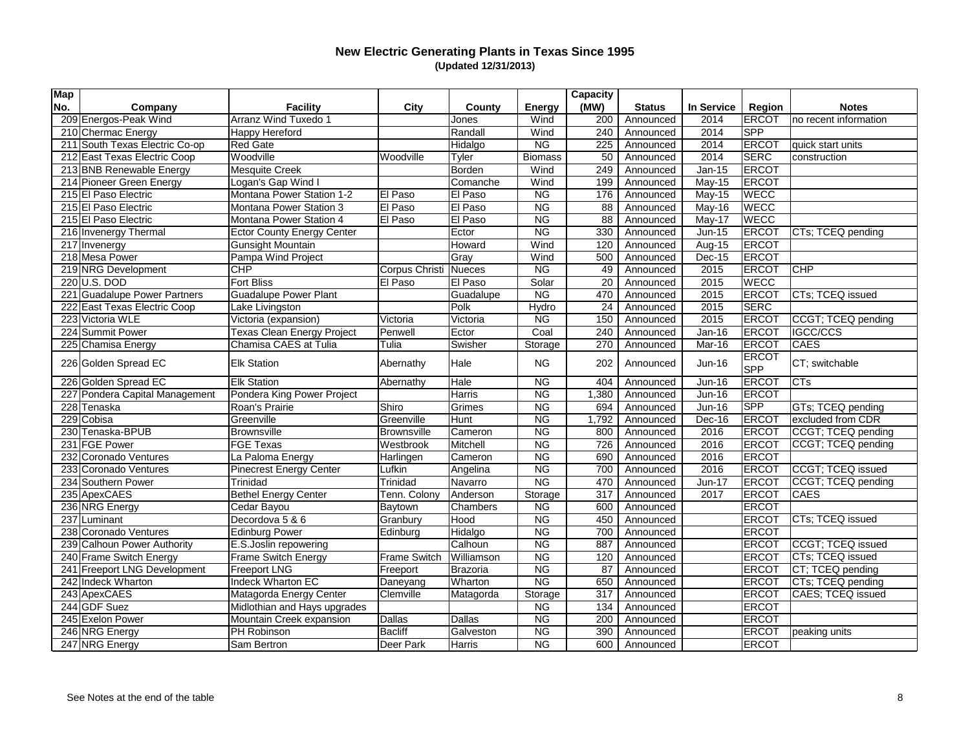| <b>Map</b> |                                |                                   |                     |            |                        | <b>Capacity</b> |               |               |                            |                                |
|------------|--------------------------------|-----------------------------------|---------------------|------------|------------------------|-----------------|---------------|---------------|----------------------------|--------------------------------|
| No.        | Company                        | <b>Facility</b>                   | <b>City</b>         | County     | <b>Energy</b>          | (MW)            | <b>Status</b> | In Service    | <b>Region</b>              | <b>Notes</b>                   |
|            | 209 Energos-Peak Wind          | Arranz Wind Tuxedo 1              |                     | Jones      | Wind                   | 200             | Announced     | 2014          | <b>ERCOT</b>               | no recent information          |
|            | 210 Chermac Energy             | Happy Hereford                    |                     | Randall    | Wind                   | 240             | Announced     | 2014          | <b>SPP</b>                 |                                |
|            | 211 South Texas Electric Co-op | <b>Red Gate</b>                   |                     | Hidalgo    | <b>NG</b>              | 225             | Announced     | 2014          | <b>ERCOT</b>               | quick start units              |
|            | 212 East Texas Electric Coop   | Woodville                         | Woodville           | Tyler      | <b>Biomass</b>         | 50              | Announced     | 2014          | SERC                       | construction                   |
|            | 213 BNB Renewable Energy       | <b>Mesquite Creek</b>             |                     | Borden     | Wind                   | 249             | Announced     | Jan-15        | <b>ERCOT</b>               |                                |
|            | 214 Pioneer Green Energy       | Logan's Gap Wind I                |                     | Comanche   | Wind                   | 199             | Announced     | <b>May-15</b> | ERCOT                      |                                |
|            | 215 El Paso Electric           | Montana Power Station 1-2         | El Paso             | El Paso    | <b>NG</b>              | 176             | Announced     | <b>May-15</b> | <b>WECC</b>                |                                |
|            | 215 El Paso Electric           | Montana Power Station 3           | El Paso             | El Paso    | N <sub>G</sub>         | 88              | Announced     | May-16        | <b>WECC</b>                |                                |
|            | 215 El Paso Electric           | Montana Power Station 4           | El Paso             | El Paso    | <b>NG</b>              | 88              | Announced     | May-17        | <b>WECC</b>                |                                |
|            | 216 Invenergy Thermal          | <b>Ector County Energy Center</b> |                     | Ector      | <b>NG</b>              | 330             | Announced     | $Jun-15$      | ERCOT                      | CTs; TCEQ pending              |
|            | 217 Invenergy                  | <b>Gunsight Mountain</b>          |                     | Howard     | Wind                   | 120             | Announced     | Aug-15        | ERCOT                      |                                |
|            | 218 Mesa Power                 | Pampa Wind Project                |                     | Gray       | Wind                   | 500             | Announced     | Dec-15        | <b>ERCOT</b>               |                                |
|            | 219 NRG Development            | <b>CHP</b>                        | Corpus Christi      | Nueces     | <b>NG</b>              | 49              | Announced     | 2015          | ERCOT                      | <b>CHP</b>                     |
|            | 220 U.S. DOD                   | <b>Fort Bliss</b>                 | El Paso             | El Paso    | Solar                  | 20              | Announced     | 2015          | <b>WECC</b>                |                                |
|            | 221 Guadalupe Power Partners   | <b>Guadalupe Power Plant</b>      |                     | Guadalupe  | <b>NG</b>              | 470             | Announced     | 2015          | <b>ERCOT</b>               | CTs; TCEQ issued               |
|            | 222 East Texas Electric Coop   | Lake Livingston                   |                     | Polk       | Hydro                  | 24              | Announced     | 2015          | SERC                       |                                |
|            | 223 Victoria WLE               | Victoria (expansion)              | Victoria            | Victoria   | <b>NG</b>              | 150             | Announced     | 2015          | <b>ERCOT</b>               | CCGT; TCEQ pending             |
|            | 224 Summit Power               | <b>Texas Clean Energy Project</b> | Penwell             | Ector      | Coal                   | 240             | Announced     | <b>Jan-16</b> | <b>ERCOT</b>               | <b>IGCC/CCS</b>                |
|            | 225 Chamisa Energy             | Chamisa CAES at Tulia             | Tulia               | Swisher    | Storage                | 270             | Announced     | Mar-16        | ERCOT                      | <b>CAES</b>                    |
|            | 226 Golden Spread EC           | <b>Elk Station</b>                | Abernathy           | Hale       | <b>NG</b>              | 202             | Announced     | $Jun-16$      | <b>ERCOT</b><br><b>SPP</b> | CT; switchable                 |
|            | 226 Golden Spread EC           | <b>Elk Station</b>                | Abernathy           | Hale       | <b>NG</b>              | 404             | Announced     | <b>Jun-16</b> | <b>ERCOT</b>               | CTs                            |
|            | 227 Pondera Capital Management | Pondera King Power Project        |                     | Harris     | <b>NG</b>              | 1,380           | Announced     | <b>Jun-16</b> | ERCOT                      |                                |
|            | 228 Tenaska                    | Roan's Prairie                    | Shiro               | Grimes     | <b>NG</b>              | 694             | Announced     | <b>Jun-16</b> | <b>SPP</b>                 | GTs; TCEQ pending              |
|            | 229 Cobisa                     | Greenville                        | Greenville          | Hunt       | <b>NG</b>              | 1,792           | Announced     | Dec-16        | ERCOT                      | excluded from CDR              |
|            | 230 Tenaska-BPUB               | Brownsville                       | <b>Brownsville</b>  | Cameron    | <b>NG</b>              | 800             | Announced     | 2016          | ERCOT                      | CCGT; TCEQ pending             |
|            | 231 FGE Power                  | <b>FGE Texas</b>                  | Westbrook           | Mitchell   | <b>NG</b>              | 726             | Announced     | 2016          | <b>ERCOT</b>               | CCGT; TCEQ pending             |
|            | 232 Coronado Ventures          | La Paloma Energy                  | Harlingen           | Cameron    | <b>NG</b>              | 690             | Announced     | 2016          | <b>ERCOT</b>               |                                |
|            | 233 Coronado Ventures          | <b>Pinecrest Energy Center</b>    | Lufkin              | Angelina   | <b>NG</b>              | 700             | Announced     | 2016          | ERCOT                      | CCGT; TCEQ issued              |
|            | 234 Southern Power             | Trinidad                          | Trinidad            | Navarro    | <b>NG</b>              | 470             | Announced     | <b>Jun-17</b> | ERCOT                      | CCGT; TCEQ pending             |
|            | 235 ApexCAES                   | <b>Bethel Energy Center</b>       | Tenn. Colony        | Anderson   | Storage                | 317             | Announced     | 2017          | <b>ERCOT</b>               | <b>CAES</b>                    |
|            | 236 NRG Energy                 | Cedar Bayou                       | Baytown             | Chambers   | <b>NG</b>              | 600             | Announced     |               | <b>ERCOT</b>               |                                |
|            | 237 Luminant                   | Decordova 5 & 6                   | Granbury            | Hood       | <b>NG</b>              | 450             | Announced     |               | ERCOT                      | CTs; TCEQ issued               |
|            | 238 Coronado Ventures          | <b>Edinburg Power</b>             | Edinburg            | Hidalgo    | <b>NG</b>              | 700             | Announced     |               | ERCOT                      |                                |
|            | 239 Calhoun Power Authority    | E.S.Joslin repowering             |                     | Calhoun    | $\overline{\text{NG}}$ | 887             | Announced     |               |                            | <b>ERCOT</b> CCGT; TCEQ issued |
|            | 240 Frame Switch Energy        | Frame Switch Energy               | <b>Frame Switch</b> | Williamson | <b>NG</b>              | 120             | Announced     |               | <b>ERCOT</b>               | CTs; TCEQ issued               |
|            | 241 Freeport LNG Development   | <b>Freeport LNG</b>               | Freeport            | Brazoria   | <b>NG</b>              | 87              | Announced     |               | ERCOT                      | CT; TCEQ pending               |
|            | 242 Indeck Wharton             | Indeck Wharton EC                 | Daneyang            | Wharton    | <b>NG</b>              | 650             | Announced     |               | <b>ERCOT</b>               | CTs; TCEQ pending              |
|            | 243 ApexCAES                   | Matagorda Energy Center           | Clemville           | Matagorda  | Storage                | 317             | Announced     |               | <b>ERCOT</b>               | CAES; TCEQ issued              |
|            | 244 GDF Suez                   | Midlothian and Hays upgrades      |                     |            | <b>NG</b>              | 134             | Announced     |               | ERCOT                      |                                |
|            | 245 Exelon Power               | Mountain Creek expansion          | Dallas              | Dallas     | <b>NG</b>              | 200             | Announced     |               | <b>ERCOT</b>               |                                |
|            | 246 NRG Energy                 | PH Robinson                       | <b>Bacliff</b>      | Galveston  | <b>NG</b>              | 390             | Announced     |               | <b>ERCOT</b>               | peaking units                  |
|            | 247 NRG Energy                 | Sam Bertron                       | Deer Park           | Harris     | <b>NG</b>              | 600             | Announced     |               | ERCOT                      |                                |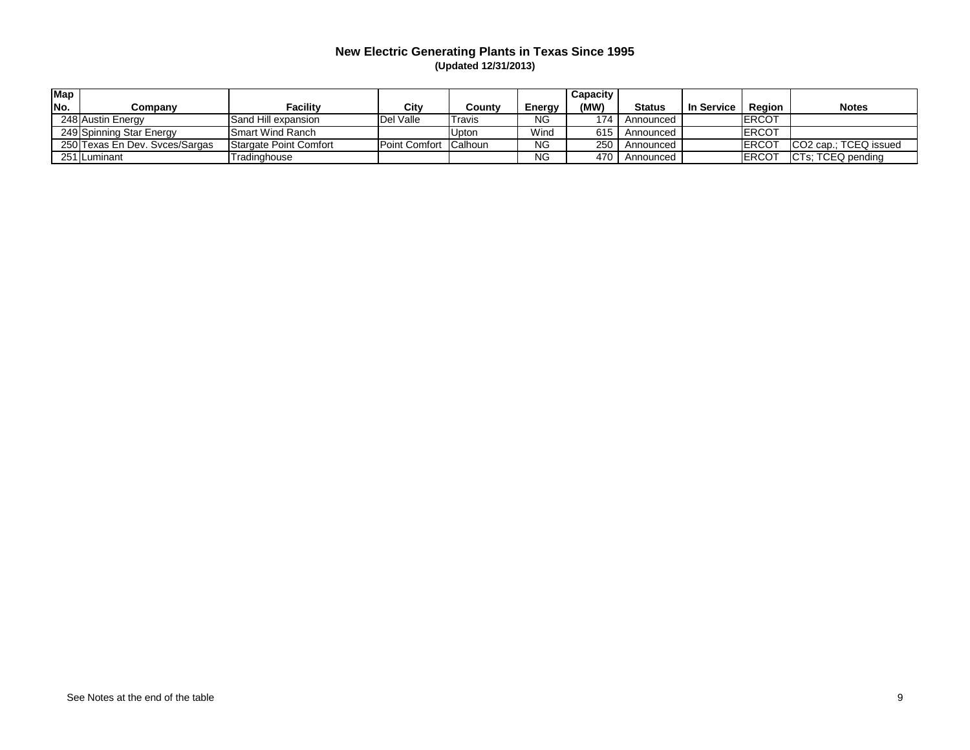| <b>Map</b> |                                |                         |               |         |               | <b>Capacity</b> |               |                   |               |                       |
|------------|--------------------------------|-------------------------|---------------|---------|---------------|-----------------|---------------|-------------------|---------------|-----------------------|
| No.        | Companv                        | <b>Facility</b>         | City          | Countv  | <b>Energy</b> | (MW)            | <b>Status</b> | <b>In Service</b> | <b>Region</b> | <b>Notes</b>          |
|            | 248 Austin Energy              | Sand Hill expansion     | Del Valle     | Travis  | ΝG            | 174             | Announced     |                   | ERCOT         |                       |
|            | 249 Spinning Star Energy       | <b>Smart Wind Ranch</b> |               | Jpton   | Wind          | 615             | Announced     |                   | <b>ERCOT</b>  |                       |
|            | 250 Texas En Dev. Svces/Sargas | Stargate Point Comfort  | Point Comfort | Calhoun | <b>NG</b>     | 250             | Announced     |                   | <b>IERCOT</b> | CO2 cap.; TCEQ issued |
|            | 251 Luminant                   | Tradinghouse            |               |         | <b>NG</b>     | 470             | Announced     |                   | ERCOT         | CTs; TCEQ pending     |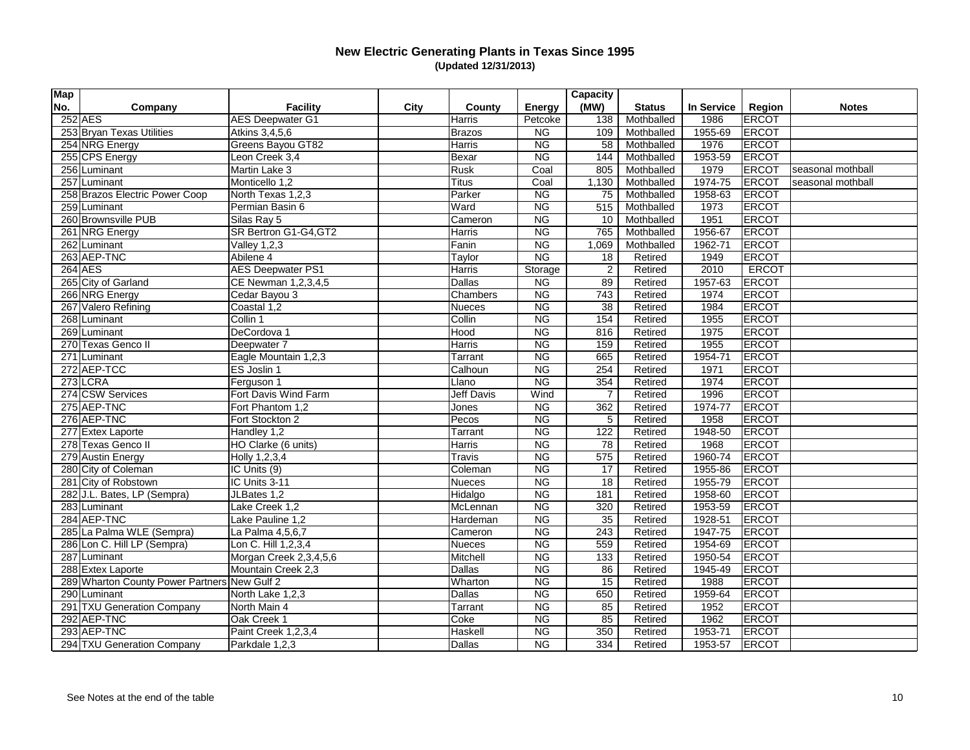| <b>Map</b> |                                              |                          |      |                   |                        | <b>Capacity</b> |               |            |               |                   |
|------------|----------------------------------------------|--------------------------|------|-------------------|------------------------|-----------------|---------------|------------|---------------|-------------------|
| No.        | Company                                      | <b>Facility</b>          | City | County            | <b>Energy</b>          | (MW)            | <b>Status</b> | In Service | <b>Region</b> | <b>Notes</b>      |
|            | $252$ AES                                    | <b>AES Deepwater G1</b>  |      | Harris            | Petcoke                | 138             | Mothballed    | 1986       | ERCOT         |                   |
|            | 253 Bryan Texas Utilities                    | Atkins 3,4,5,6           |      | Brazos            | <b>NG</b>              | 109             | Mothballed    | 1955-69    | <b>ERCOT</b>  |                   |
|            | 254 NRG Energy                               | Greens Bayou GT82        |      | Harris            | <b>NG</b>              | 58              | Mothballed    | 1976       | <b>ERCOT</b>  |                   |
|            | 255 CPS Energy                               | Leon Creek 3,4           |      | Bexar             | <b>NG</b>              | 144             | Mothballed    | 1953-59    | <b>ERCOT</b>  |                   |
|            | 256 Luminant                                 | Martin Lake 3            |      | Rusk              | Coal                   | 805             | Mothballed    | 1979       | <b>ERCOT</b>  | seasonal mothball |
|            | 257 Luminant                                 | Monticello 1,2           |      | <b>Titus</b>      | Coal                   | 1,130           | Mothballed    | 1974-75    | ERCOT         | seasonal mothball |
|            | 258 Brazos Electric Power Coop               | North Texas 1,2,3        |      | Parker            | <b>NG</b>              | 75              | Mothballed    | 1958-63    | <b>ERCOT</b>  |                   |
|            | 259 Luminant                                 | Permian Basin 6          |      | Ward              | <b>NG</b>              | 515             | Mothballed    | 1973       | <b>ERCOT</b>  |                   |
|            | 260 Brownsville PUB                          | Silas Ray 5              |      | Cameron           | <b>NG</b>              | 10              | Mothballed    | 1951       | <b>ERCOT</b>  |                   |
|            | 261 NRG Energy                               | SR Bertron G1-G4, GT2    |      | Harris            | <b>NG</b>              | 765             | Mothballed    | 1956-67    | ERCOT         |                   |
|            | $\overline{262}$ Luminant                    | <b>Valley 1,2,3</b>      |      | Fanin             | <b>NG</b>              | 1,069           | Mothballed    | 1962-71    | ERCOT         |                   |
|            | 263 AEP-TNC                                  | Abilene 4                |      | Taylor            | <b>NG</b>              | 18              | Retired       | 1949       | ERCOT         |                   |
|            | $264$ AES                                    | <b>AES Deepwater PS1</b> |      | Harris            | Storage                | 2               | Retired       | 2010       | <b>ERCOT</b>  |                   |
|            | 265 City of Garland                          | CE Newman 1,2,3,4,5      |      | Dallas            | <b>NG</b>              | 89              | Retired       | 1957-63    | <b>ERCOT</b>  |                   |
|            | 266 NRG Energy                               | Cedar Bayou 3            |      | Chambers          | <b>NG</b>              | 743             | Retired       | 1974       | <b>ERCOT</b>  |                   |
|            | 267 Valero Refining                          | Coastal 1,2              |      | Nueces            | <b>NG</b>              | 38              | Retired       | 1984       | <b>ERCOT</b>  |                   |
|            | 268 Luminant                                 | Collin 1                 |      | Collin            | N <sub>G</sub>         | 154             | Retired       | 1955       | <b>ERCOT</b>  |                   |
|            | 269 Luminant                                 | DeCordova 1              |      | Hood              | <b>NG</b>              | 816             | Retired       | 1975       | <b>ERCOT</b>  |                   |
|            | 270 Texas Genco II                           | Deepwater 7              |      | Harris            | <b>NG</b>              | 159             | Retired       | 1955       | ERCOT         |                   |
|            | 271 Luminant                                 | Eagle Mountain 1,2,3     |      | Tarrant           | NG                     | 665             | Retired       | 1954-71    | ERCOT         |                   |
|            | 272 AEP-TCC                                  | ES Joslin 1              |      | Calhoun           | <b>NG</b>              | 254             | Retired       | 1971       | <b>ERCOT</b>  |                   |
|            | $273$ LCRA                                   | Ferguson 1               |      | Llano             | $\overline{\text{NG}}$ | 354             | Retired       | 1974       | <b>ERCOT</b>  |                   |
|            | 274 CSW Services                             | Fort Davis Wind Farm     |      | <b>Jeff Davis</b> | Wind                   | $\overline{7}$  | Retired       | 1996       | <b>ERCOT</b>  |                   |
|            | 275 AEP-TNC                                  | Fort Phantom 1,2         |      | Jones             | <b>NG</b>              | 362             | Retired       | 1974-77    | <b>ERCOT</b>  |                   |
|            | 276 AEP-TNC                                  | Fort Stockton 2          |      | Pecos             | <b>NG</b>              | 5               | Retired       | 1958       | ERCOT         |                   |
|            | 277 Extex Laporte                            | Handley 1,2              |      | <b>Tarrant</b>    | <b>NG</b>              | 122             | Retired       | 1948-50    | <b>ERCOT</b>  |                   |
|            | 278 Texas Genco II                           | HO Clarke (6 units)      |      | Harris            | <b>NG</b>              | 78              | Retired       | 1968       | <b>ERCOT</b>  |                   |
|            | 279 Austin Energy                            | Holly 1,2,3,4            |      | <b>Travis</b>     | <b>NG</b>              | 575             | Retired       | 1960-74    | <b>ERCOT</b>  |                   |
|            | 280 City of Coleman                          | IC Units (9)             |      | Coleman           | <b>NG</b>              | 17              | Retired       | 1955-86    | ERCOT         |                   |
|            | 281 City of Robstown                         | IC Units 3-11            |      | <b>Nueces</b>     | <b>NG</b>              | 18              | Retired       | 1955-79    | ERCOT         |                   |
|            | 282 J.L. Bates, LP (Sempra)                  | JLBates 1,2              |      | Hidalgo           | N <sub>G</sub>         | 181             | Retired       | 1958-60    | <b>ERCOT</b>  |                   |
|            | 283 Luminant                                 | Lake Creek 1,2           |      | McLennan          | NG                     | 320             | Retired       | 1953-59    | <b>ERCOT</b>  |                   |
|            | 284 AEP-TNC                                  | Lake Pauline 1,2         |      | Hardeman          | <b>NG</b>              | 35              | Retired       | 1928-51    | <b>ERCOT</b>  |                   |
|            | 285 La Palma WLE (Sempra)                    | La Palma 4,5,6,7         |      | Cameron           | <b>NG</b>              | 243             | Retired       | 1947-75    | <b>ERCOT</b>  |                   |
|            | 286 Lon C. Hill LP (Sempra)                  | Lon C. Hill 1,2,3,4      |      | Nueces            | NG                     | 559             | Retired       | 1954-69    | ERCOT         |                   |
|            | 287 Luminant                                 | Morgan Creek 2,3,4,5,6   |      | Mitchell          | <b>NG</b>              | 133             | Retired       | 1950-54    | ERCOT         |                   |
|            | 288 Extex Laporte                            | Mountain Creek 2,3       |      | Dallas            | <b>NG</b>              | 86              | Retired       | 1945-49    | <b>ERCOT</b>  |                   |
|            | 289 Wharton County Power Partners New Gulf 2 |                          |      | Wharton           | <b>NG</b>              | 15              | Retired       | 1988       | <b>ERCOT</b>  |                   |
|            | 290 Luminant                                 | North Lake 1,2,3         |      | Dallas            | <b>NG</b>              | 650             | Retired       | 1959-64    | ERCOT         |                   |
|            | 291 TXU Generation Company                   | North Main 4             |      | Tarrant           | NG                     | 85              | Retired       | 1952       | ERCOT         |                   |
|            | 292 AEP-TNC                                  | Oak Creek 1              |      | Coke              | <b>NG</b>              | 85              | Retired       | 1962       | ERCOT         |                   |
|            | 293 AEP-TNC                                  | Paint Creek 1,2,3,4      |      | Haskell           | <b>NG</b>              | 350             | Retired       | 1953-71    | <b>ERCOT</b>  |                   |
|            | 294 TXU Generation Company                   | Parkdale 1,2,3           |      | Dallas            | <b>NG</b>              | 334             | Retired       | 1953-57    | <b>ERCOT</b>  |                   |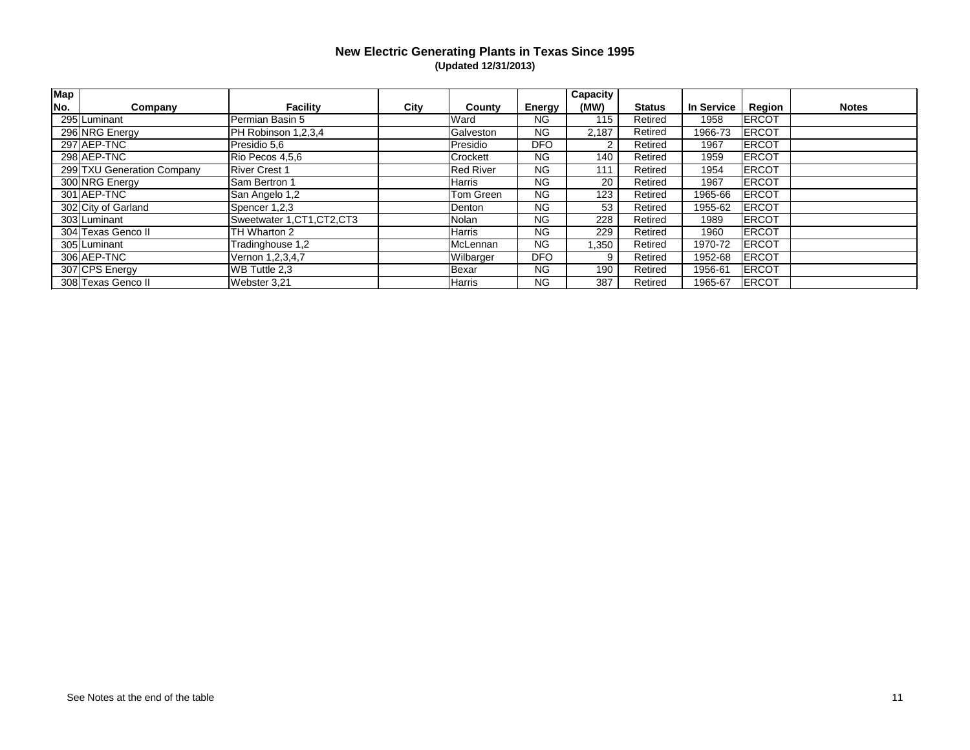| <b>Map</b> |                            |                             |      |                  |               | Capacity |               |                   |              |              |
|------------|----------------------------|-----------------------------|------|------------------|---------------|----------|---------------|-------------------|--------------|--------------|
| No.        | Company                    | <b>Facility</b>             | City | County           | <b>Energy</b> | (MW)     | <b>Status</b> | <b>In Service</b> | Region       | <b>Notes</b> |
|            | 295 Luminant               | Permian Basin 5             |      | Ward             | ΝG            | 115      | Retired       | 1958              | <b>ERCOT</b> |              |
|            | 296 NRG Energy             | PH Robinson 1,2,3,4         |      | Galveston        | <b>NG</b>     | 2,187    | Retired       | 1966-73           | <b>ERCOT</b> |              |
|            | 297 AEP-TNC                | Presidio 5,6                |      | Presidio         | DFO           | 2        | Retired       | 1967              | <b>ERCOT</b> |              |
|            | 298 AEP-TNC                | Rio Pecos 4,5,6             |      | Crockett         | <b>NG</b>     | 140      | Retired       | 1959              | <b>ERCOT</b> |              |
|            | 299 TXU Generation Company | <b>River Crest 1</b>        |      | <b>Red River</b> | <b>NG</b>     | 111      | Retired       | 1954              | <b>ERCOT</b> |              |
|            | 300 NRG Energy             | Sam Bertron 1               |      | Harris           | <b>NG</b>     | 20       | Retired       | 1967              | <b>ERCOT</b> |              |
|            | 301 AEP-TNC                | San Angelo 1,2              |      | Tom Green        | <b>NG</b>     | 123      | Retired       | 1965-66           | <b>ERCOT</b> |              |
|            | 302 City of Garland        | Spencer 1,2,3               |      | Denton           | NG.           | 53       | Retired       | 1955-62           | <b>ERCOT</b> |              |
|            | 303 Luminant               | Sweetwater 1, CT1, CT2, CT3 |      | Nolan            | ΝG            | 228      | Retired       | 1989              | <b>ERCOT</b> |              |
|            | 304 Texas Genco II         | TH Wharton 2                |      | Harris           | <b>NG</b>     | 229      | Retired       | 1960              | <b>ERCOT</b> |              |
|            | 305 Luminant               | Tradinghouse 1,2            |      | McLennan         | <b>NG</b>     | 1,350    | Retired       | 1970-72           | <b>ERCOT</b> |              |
|            | 306 AEP-TNC                | Vernon 1,2,3,4,7            |      | <b>Wilbarger</b> | <b>DFO</b>    | 9        | Retired       | 1952-68           | ERCOT        |              |
|            | 307 CPS Energy             | WB Tuttle 2,3               |      | Bexar            | <b>NG</b>     | 190      | Retired       | 1956-61           | <b>ERCOT</b> |              |
|            | 308 Texas Genco II         | Webster 3,21                |      | Harris           | NG.           | 387      | Retired       | 1965-67           | ERCOT        |              |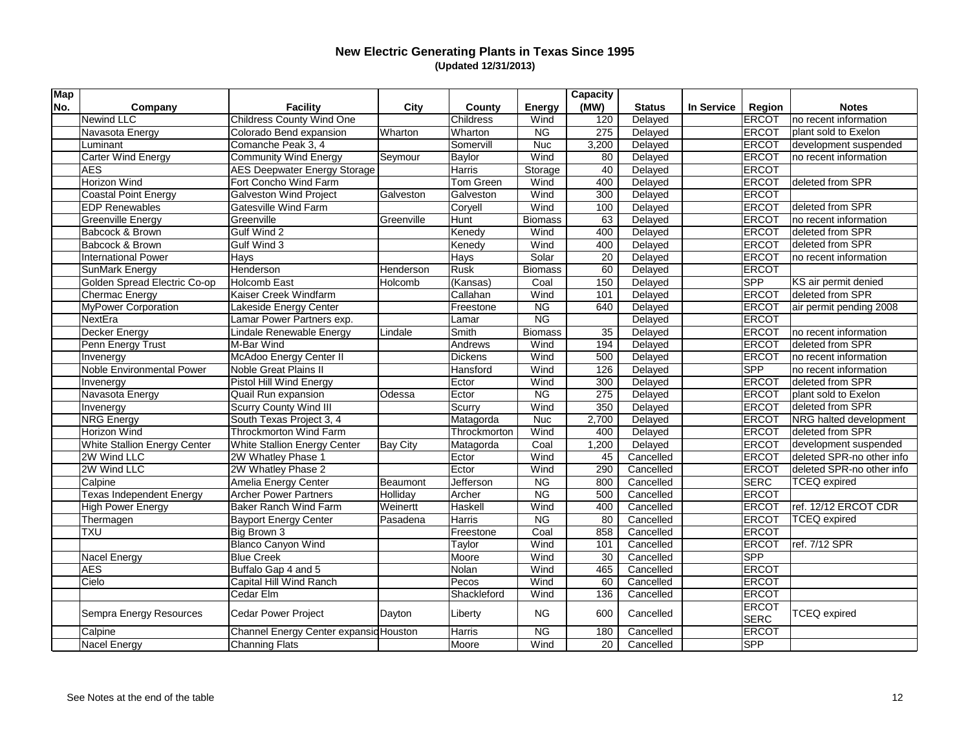| <b>Map</b> |                                  |                                        |                 |               |                | <b>Capacity</b> |               |            |               |                           |
|------------|----------------------------------|----------------------------------------|-----------------|---------------|----------------|-----------------|---------------|------------|---------------|---------------------------|
| No.        | Company                          | <b>Facility</b>                        | City            | County        | <b>Energy</b>  | (MW)            | <b>Status</b> | In Service | Region        | <b>Notes</b>              |
|            | <b>Newind LLC</b>                | <b>Childress County Wind One</b>       |                 | Childress     | Wind           | 120             | Delayed       |            | ERCOT         | no recent information     |
|            | Navasota Energy                  | Colorado Bend expansion                | Wharton         | Wharton       | <b>NG</b>      | 275             | Delayed       |            | <b>ERCOT</b>  | plant sold to Exelon      |
|            | Luminant                         | Comanche Peak 3, 4                     |                 | Somervill     | <b>Nuc</b>     | 3,200           | Delayed       |            | ERCOT         | development suspended     |
|            | <b>Carter Wind Energy</b>        | <b>Community Wind Energy</b>           | Seymour         | Baylor        | Wind           | 80              | Delayed       |            | ERCOT         | no recent information     |
|            | <b>AES</b>                       | <b>AES Deepwater Energy Storage</b>    |                 | <b>Harris</b> | Storage        | 40              | Delayed       |            | <b>ERCOT</b>  |                           |
|            | Horizon Wind                     | Fort Concho Wind Farm                  |                 | Tom Green     | Wind           | 400             | Delayed       |            | ERCOT         | deleted from SPR          |
|            | <b>Coastal Point Energy</b>      | <b>Galveston Wind Project</b>          | Galveston       | Galveston     | Wind           | 300             | Delayed       |            | ERCOT         |                           |
|            | <b>EDP Renewables</b>            | <b>Gatesville Wind Farm</b>            |                 | Coryell       | Wind           | 100             | Delayed       |            | ERCOT         | deleted from SPR          |
|            | <b>Greenville Energy</b>         | Greenville                             | Greenville      | Hunt          | <b>Biomass</b> | 63              | Delayed       |            | ERCOT         | no recent information     |
|            | Babcock & Brown                  | Gulf Wind 2                            |                 | Kenedy        | Wind           | 400             | Delayed       |            | ERCOT         | deleted from SPR          |
|            | Babcock & Brown                  | Gulf Wind 3                            |                 | Kenedy        | Wind           | 400             | Delayed       |            | ERCOT         | deleted from SPR          |
|            | <b>International Power</b>       | Hays                                   |                 | Hays          | Solar          | 20              | Delayed       |            | ERCOT         | no recent information     |
|            | <b>SunMark Energy</b>            | Henderson                              | Henderson       | Rusk          | <b>Biomass</b> | 60              | Delayed       |            | ERCOT         |                           |
|            | Golden Spread Electric Co-op     | <b>Holcomb East</b>                    | Holcomb         | (Kansas)      | Coal           | 150             | Delayed       |            | <b>SPP</b>    | KS air permit denied      |
|            | <b>Chermac Energy</b>            | Kaiser Creek Windfarm                  |                 | Callahan      | Wind           | 101             | Delayed       |            | ERCOT         | deleted from SPR          |
|            | <b>MyPower Corporation</b>       | Lakeside Energy Center                 |                 | Freestone     | <b>NG</b>      | 640             | Delayed       |            | ERCOT         | air permit pending 2008   |
|            | NextEra                          | Lamar Power Partners exp.              |                 | ∟amar         | N <sub>G</sub> |                 | Delayed       |            | ERCOT         |                           |
|            | Decker Energy                    | Lindale Renewable Energy               | Lindale         | Smith         | <b>Biomass</b> | 35              | Delayed       |            | <b>ERCOT</b>  | no recent information     |
|            | Penn Energy Trust                | M-Bar Wind                             |                 | Andrews       | Wind           | 194             | Delayed       |            | <b>ERCOT</b>  | deleted from SPR          |
|            | Invenergy                        | McAdoo Energy Center II                |                 | Dickens       | Wind           | 500             | Delayed       |            | <b>ERCOT</b>  | no recent information     |
|            | <b>Noble Environmental Power</b> | <b>Noble Great Plains II</b>           |                 | Hansford      | Wind           | 126             | Delayed       |            | <b>SPP</b>    | no recent information     |
|            | Invenergy                        | Pistol Hill Wind Energy                |                 | Ector         | Wind           | 300             | Delayed       |            | <b>ERCOT</b>  | deleted from SPR          |
|            | Navasota Energy                  | Quail Run expansion                    | Odessa          | Ector         | <b>NG</b>      | 275             | Delayed       |            | <b>ERCOT</b>  | plant sold to Exelon      |
|            | Invenergy                        | <b>Scurry County Wind III</b>          |                 | Scurry        | Wind           | 350             | Delayed       |            | ERCOT         | deleted from SPR          |
|            | <b>NRG</b> Energy                | South Texas Project 3, 4               |                 | Matagorda     | <b>Nuc</b>     | 2,700           | Delayed       |            | ERCOT         | NRG halted development    |
|            | Horizon Wind                     | <b>Throckmorton Wind Farm</b>          |                 | Throckmorton  | Wind           | 400             | Delayed       |            | ERCOT         | deleted from SPR          |
|            | White Stallion Energy Center     | <b>White Stallion Energy Center</b>    | <b>Bay City</b> | Matagorda     | Coal           | 1,200           | Delayed       |            | ERCOT         | development suspended     |
|            | 2W Wind LLC                      | 2W Whatley Phase 1                     |                 | Ector         | Wind           | 45              | Cancelled     |            | ERCOT         | deleted SPR-no other info |
|            | 2W Wind LLC                      | 2W Whatley Phase 2                     |                 | Ector         | Wind           | 290             | Cancelled     |            | ERCOT         | deleted SPR-no other info |
|            | Calpine                          | Amelia Energy Center                   | Beaumont        | Jefferson     | <b>NG</b>      | 800             | Cancelled     |            | SERC          | <b>TCEQ</b> expired       |
|            | <b>Texas Independent Energy</b>  | <b>Archer Power Partners</b>           | Holliday        | Archer        | NG             | 500             | Cancelled     |            | ERCOT         |                           |
|            | <b>High Power Energy</b>         | <b>Baker Ranch Wind Farm</b>           | Weinertt        | Haskell       | Wind           | 400             | Cancelled     |            | ERCOT         | ref. 12/12 ERCOT CDR      |
|            | Thermagen                        | <b>Bayport Energy Center</b>           | Pasadena        | Harris        | <b>NG</b>      | 80              | Cancelled     |            | ERCOT         | <b>TCEQ</b> expired       |
|            | <b>TXU</b>                       | Big Brown 3                            |                 | Freestone     | Coal           | 858             | Cancelled     |            | ERCOT         |                           |
|            |                                  | <b>Blanco Canyon Wind</b>              |                 | Taylor        | Wind           | 101             | Cancelled     |            |               | ERCOT ref. 7/12 SPR       |
|            | Nacel Energy                     | <b>Blue Creek</b>                      |                 | Moore         | Wind           | 30              | Cancelled     |            | <b>SPP</b>    |                           |
|            | <b>AES</b>                       | Buffalo Gap 4 and 5                    |                 | Nolan         | Wind           | 465             | Cancelled     |            | ERCOT         |                           |
|            | Cielo                            | Capital Hill Wind Ranch                |                 | Pecos         | Wind           | 60              | Cancelled     |            | ERCOT         |                           |
|            |                                  | Cedar Elm                              |                 | Shackleford   | Wind           | 136             | Cancelled     |            | ERCOT         |                           |
|            | Sempra Energy Resources          | Cedar Power Project                    | Dayton          | Liberty       | <b>NG</b>      | 600             | Cancelled     |            | ERCOT<br>SERC | <b>TCEQ</b> expired       |
|            | Calpine                          | Channel Energy Center expansid Houston |                 | Harris        | <b>NG</b>      | 180             | Cancelled     |            | <b>ERCOT</b>  |                           |
|            | Nacel Energy                     | Channing Flats                         |                 | Moore         | Wind           | 20              | Cancelled     |            | <b>SPP</b>    |                           |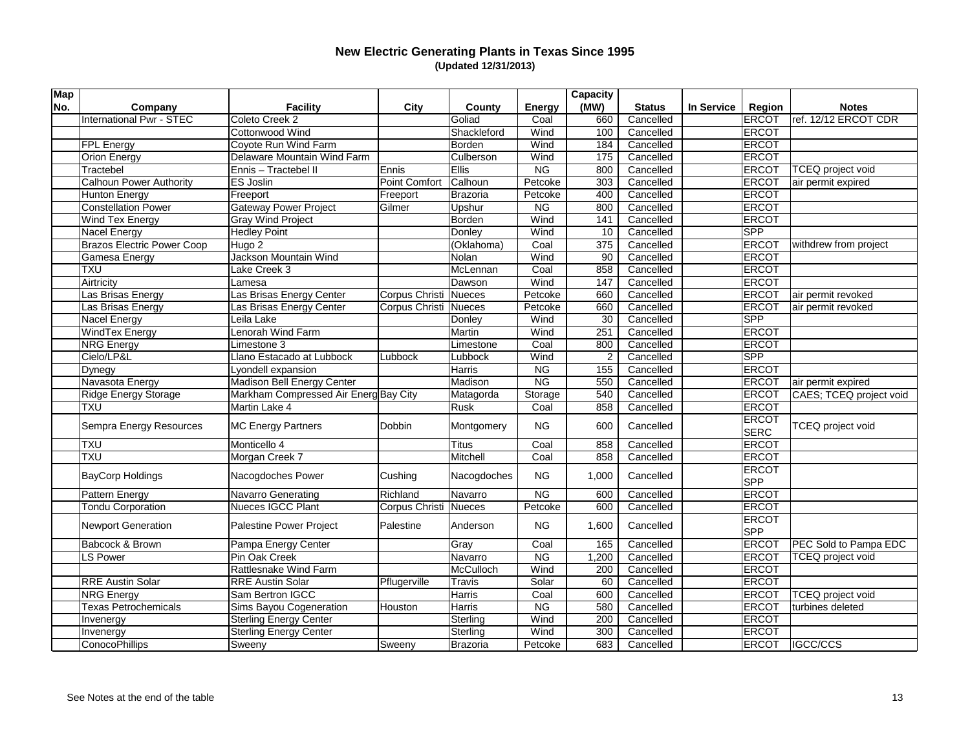| <b>Map</b> |                                   |                                       |                              |               |                        | Capacity       |               |            |              |                                    |
|------------|-----------------------------------|---------------------------------------|------------------------------|---------------|------------------------|----------------|---------------|------------|--------------|------------------------------------|
| No.        | Company                           | <b>Facility</b>                       | City                         | County        | <b>Energy</b>          | (MW)           | <b>Status</b> | In Service | Region       | <b>Notes</b>                       |
|            | International Pwr - STEC          | Coleto Creek 2                        |                              | Goliad        | Coal                   | 660            | Cancelled     |            | ERCOT        | ref. 12/12 ERCOT CDR               |
|            |                                   | Cottonwood Wind                       |                              | Shackleford   | Wind                   | 100            | Cancelled     |            | ERCOT        |                                    |
|            | <b>FPL Energy</b>                 | Coyote Run Wind Farm                  |                              | Borden        | Wind                   | 184            | Cancelled     |            | <b>ERCOT</b> |                                    |
|            | Orion Energy                      | Delaware Mountain Wind Farm           |                              | Culberson     | Wind                   | 175            | Cancelled     |            | <b>ERCOT</b> |                                    |
|            | Tractebel                         | Ennis - Tractebel II                  | Ennis                        | Ellis         | <b>NG</b>              | 800            | Cancelled     |            | <b>ERCOT</b> | <b>TCEQ</b> project void           |
|            | <b>Calhoun Power Authority</b>    | <b>ES Joslin</b>                      | Point Comfort                | Calhoun       | Petcoke                | 303            | Cancelled     |            | <b>ERCOT</b> | air permit expired                 |
|            | <b>Hunton Energy</b>              | Freeport                              | Freeport                     | Brazoria      | Petcoke                | 400            | Cancelled     |            | ERCOT        |                                    |
|            | <b>Constellation Power</b>        | <b>Gateway Power Project</b>          | Gilmer                       | Upshur        | <b>NG</b>              | 800            | Cancelled     |            | <b>ERCOT</b> |                                    |
|            | Wind Tex Energy                   | <b>Gray Wind Project</b>              |                              | Borden        | Wind                   | 141            | Cancelled     |            | ERCOT        |                                    |
|            | Nacel Energy                      | <b>Hedley Point</b>                   |                              | Donley        | Wind                   | 10             | Cancelled     |            | <b>SPP</b>   |                                    |
|            | <b>Brazos Electric Power Coop</b> | Hugo 2                                |                              | (Oklahoma)    | Coal                   | 375            | Cancelled     |            | ERCOT        | withdrew from project              |
|            | Gamesa Energy                     | Jackson Mountain Wind                 |                              | Nolan         | Wind                   | 90             | Cancelled     |            | ERCOT        |                                    |
|            | <b>TXU</b>                        | Lake Creek 3                          |                              | McLennan      | Coal                   | 858            | Cancelled     |            | <b>ERCOT</b> |                                    |
|            | Airtricity                        | Lamesa                                |                              | Dawson        | Wind                   | 147            | Cancelled     |            | <b>ERCOT</b> |                                    |
|            | Las Brisas Energy                 | Las Brisas Energy Center              | Corpus Christi               | Nueces        | Petcoke                | 660            | Cancelled     |            | <b>ERCOT</b> | air permit revoked                 |
|            | as Brisas Energy                  | Las Brisas Energy Center              | Corpus Christi               | <b>Nueces</b> | Petcoke                | 660            | Cancelled     |            | ERCOT        | air permit revoked                 |
|            | <b>Nacel Energy</b>               | Leila Lake                            |                              | Donley        | Wind                   | 30             | Cancelled     |            | SPP          |                                    |
|            | <b>WindTex Energy</b>             | Lenorah Wind Farm                     |                              | Martin        | Wind                   | 251            | Cancelled     |            | ERCOT        |                                    |
|            | <b>NRG</b> Energy                 | Limestone 3                           |                              | Limestone     | Coal                   | 800            | Cancelled     |            | <b>ERCOT</b> |                                    |
|            | Cielo/LP&L                        | Llano Estacado at Lubbock             | Lubbock                      | Lubbock       | Wind                   | $\overline{2}$ | Cancelled     |            | <b>SPP</b>   |                                    |
|            | Dynegy                            | Lyondell expansion                    |                              | Harris        | <b>NG</b>              | 155            | Cancelled     |            | ERCOT        |                                    |
|            | Navasota Energy                   | Madison Bell Energy Center            |                              | Madison       | $\overline{\text{NG}}$ | 550            | Cancelled     |            | ERCOT        | air permit expired                 |
|            | <b>Ridge Energy Storage</b>       | Markham Compressed Air Energ Bay City |                              | Matagorda     | Storage                | 540            | Cancelled     |            | ERCOT        | CAES; TCEQ project void            |
|            | <b>TXU</b>                        | Martin Lake 4                         |                              | Rusk          | Coal                   | 858            | Cancelled     |            | ERCOT        |                                    |
|            |                                   |                                       |                              |               |                        |                |               |            | <b>ERCOT</b> |                                    |
|            | Sempra Energy Resources           | <b>MC Energy Partners</b>             | Dobbin                       | Montgomery    | <b>NG</b>              | 600            | Cancelled     |            | SERC         | <b>TCEQ</b> project void           |
|            | <b>TXU</b>                        | Monticello 4                          |                              | Titus         | Coal                   | 858            | Cancelled     |            | ERCOT        |                                    |
|            | <b>TXU</b>                        | Morgan Creek 7                        |                              | Mitchell      | Coal                   | 858            | Cancelled     |            | ERCOT        |                                    |
|            |                                   |                                       |                              |               |                        |                |               |            | ERCOT        |                                    |
|            | <b>BayCorp Holdings</b>           | Nacogdoches Power                     | Cushing                      | Nacogdoches   | <b>NG</b>              | 1,000          | Cancelled     |            | <b>SPP</b>   |                                    |
|            | Pattern Energy                    | <b>Navarro Generating</b>             | Richland                     | Navarro       | $\overline{NG}$        | 600            | Cancelled     |            | <b>ERCOT</b> |                                    |
|            | <b>Tondu Corporation</b>          | Nueces IGCC Plant                     | <b>Corpus Christi Nueces</b> |               | Petcoke                | 600            | Cancelled     |            | ERCOT        |                                    |
|            |                                   |                                       |                              |               |                        |                |               |            | <b>ERCOT</b> |                                    |
|            | Newport Generation                | Palestine Power Project               | Palestine                    | Anderson      | <b>NG</b>              | 1,600          | Cancelled     |            | <b>SPP</b>   |                                    |
|            | Babcock & Brown                   | Pampa Energy Center                   |                              | Gray          | Coal                   | 165            | Cancelled     |            |              | <b>ERCOT</b> PEC Sold to Pampa EDC |
|            | <b>LS Power</b>                   | Pin Oak Creek                         |                              | Navarro       | <b>NG</b>              | 1,200          | Cancelled     |            | <b>ERCOT</b> | <b>TCEQ</b> project void           |
|            |                                   | <b>Rattlesnake Wind Farm</b>          |                              | McCulloch     | Wind                   | 200            | Cancelled     |            | <b>ERCOT</b> |                                    |
|            | <b>RRE Austin Solar</b>           | <b>RRE Austin Solar</b>               | Pflugerville                 | <b>Travis</b> | Solar                  | 60             | Cancelled     |            | ERCOT        |                                    |
|            | <b>NRG Energy</b>                 | Sam Bertron IGCC                      |                              | Harris        | Coal                   | 600            | Cancelled     |            | ERCOT        | TCEQ project void                  |
|            | <b>Texas Petrochemicals</b>       | Sims Bayou Cogeneration               | Houston                      | Harris        | <b>NG</b>              | 580            | Cancelled     |            | ERCOT        | turbines deleted                   |
|            | Invenergy                         | <b>Sterling Energy Center</b>         |                              | Sterling      | Wind                   | 200            | Cancelled     |            | <b>ERCOT</b> |                                    |
|            | Invenergy                         | <b>Sterling Energy Center</b>         |                              | Sterling      | Wind                   | 300            | Cancelled     |            | <b>ERCOT</b> |                                    |
|            | <b>ConocoPhillips</b>             | Sweeny                                | Sweeny                       | Brazoria      | Petcoke                | 683            | Cancelled     |            | <b>ERCOT</b> | IGCC/CCS                           |